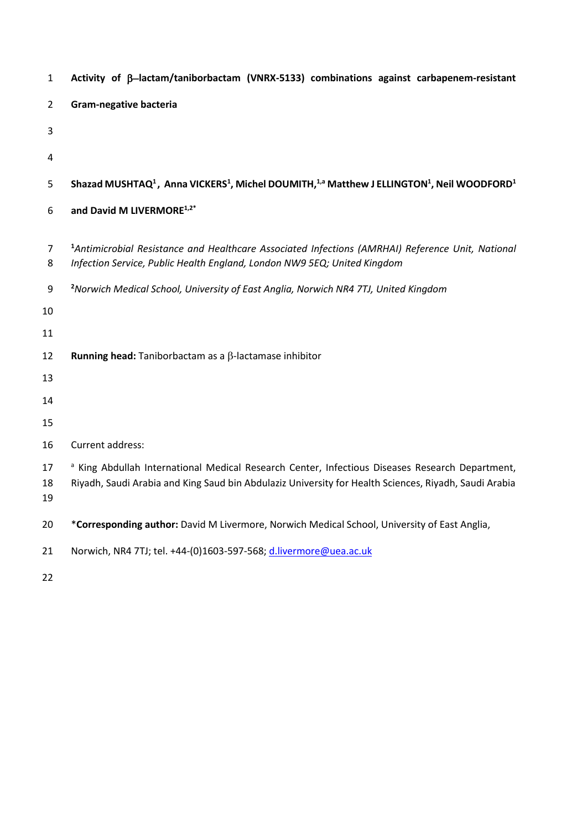| $\mathbf{1}$        | Activity of $\beta$ -lactam/taniborbactam (VNRX-5133) combinations against carbapenem-resistant                                                                                                                     |
|---------------------|---------------------------------------------------------------------------------------------------------------------------------------------------------------------------------------------------------------------|
| $\overline{2}$      | Gram-negative bacteria                                                                                                                                                                                              |
| 3                   |                                                                                                                                                                                                                     |
| 4                   |                                                                                                                                                                                                                     |
| 5                   | Shazad MUSHTAQ <sup>1</sup> , Anna VICKERS <sup>1</sup> , Michel DOUMITH, <sup>1,a</sup> Matthew J ELLINGTON <sup>1</sup> , Neil WOODFORD <sup>1</sup>                                                              |
| 6                   | and David M LIVERMORE <sup>1,2*</sup>                                                                                                                                                                               |
| $\overline{7}$<br>8 | <sup>1</sup> Antimicrobial Resistance and Healthcare Associated Infections (AMRHAI) Reference Unit, National<br>Infection Service, Public Health England, London NW9 5EQ; United Kingdom                            |
| 9                   | <sup>2</sup> Norwich Medical School, University of East Anglia, Norwich NR4 7TJ, United Kingdom                                                                                                                     |
| 10                  |                                                                                                                                                                                                                     |
| 11                  |                                                                                                                                                                                                                     |
| 12                  | Running head: Taniborbactam as a $\beta$ -lactamase inhibitor                                                                                                                                                       |
| 13                  |                                                                                                                                                                                                                     |
| 14                  |                                                                                                                                                                                                                     |
| 15                  |                                                                                                                                                                                                                     |
| 16                  | Current address:                                                                                                                                                                                                    |
| 17<br>18<br>19      | <sup>a</sup> King Abdullah International Medical Research Center, Infectious Diseases Research Department,<br>Riyadh, Saudi Arabia and King Saud bin Abdulaziz University for Health Sciences, Riyadh, Saudi Arabia |
| 20                  | *Corresponding author: David M Livermore, Norwich Medical School, University of East Anglia,                                                                                                                        |
| 21                  | Norwich, NR4 7TJ; tel. +44-(0)1603-597-568; d.livermore@uea.ac.uk                                                                                                                                                   |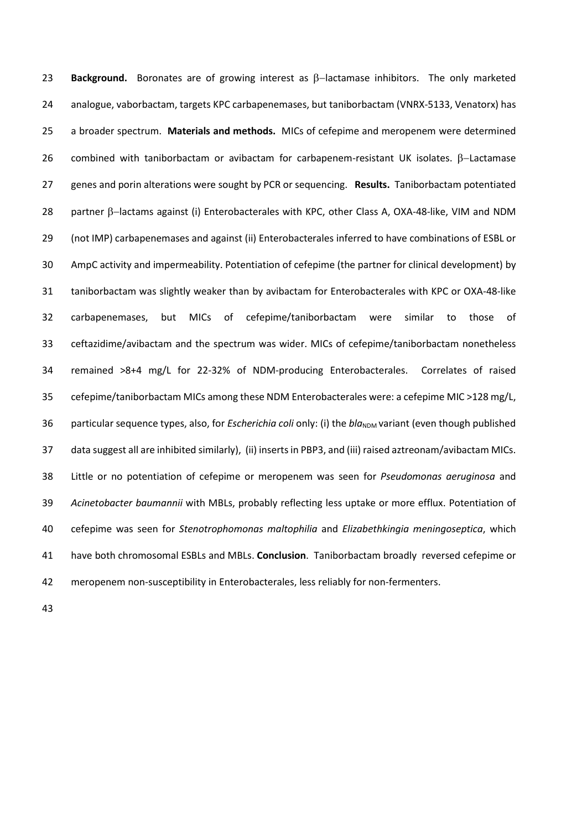**23 Background.** Boronates are of growing interest as β-lactamase inhibitors. The only marketed analogue, vaborbactam, targets KPC carbapenemases, but taniborbactam (VNRX-5133, Venatorx) has a broader spectrum. **Materials and methods.** MICs of cefepime and meropenem were determined 26 combined with taniborbactam or avibactam for carbapenem-resistant UK isolates. β-Lactamase genes and porin alterations were sought by PCR or sequencing. **Results.** Taniborbactam potentiated 28 partner  $\beta$ -lactams against (i) Enterobacterales with KPC, other Class A, OXA-48-like, VIM and NDM (not IMP) carbapenemases and against (ii) Enterobacterales inferred to have combinations of ESBL or AmpC activity and impermeability. Potentiation of cefepime (the partner for clinical development) by taniborbactam was slightly weaker than by avibactam for Enterobacterales with KPC or OXA-48-like carbapenemases, but MICs of cefepime/taniborbactam were similar to those of ceftazidime/avibactam and the spectrum was wider. MICs of cefepime/taniborbactam nonetheless remained >8+4 mg/L for 22-32% of NDM-producing Enterobacterales. Correlates of raised cefepime/taniborbactam MICs among these NDM Enterobacterales were: a cefepime MIC >128 mg/L, 36 particular sequence types, also, for *Escherichia coli* only: (i) the *bla*<sub>NDM</sub> variant (even though published data suggest all are inhibited similarly), (ii) inserts in PBP3, and (iii) raised aztreonam/avibactam MICs. Little or no potentiation of cefepime or meropenem was seen for *Pseudomonas aeruginosa* and *Acinetobacter baumannii* with MBLs, probably reflecting less uptake or more efflux. Potentiation of cefepime was seen for *Stenotrophomonas maltophilia* and *Elizabethkingia meningoseptica*, which have both chromosomal ESBLs and MBLs. **Conclusion**. Taniborbactam broadly reversed cefepime or meropenem non-susceptibility in Enterobacterales, less reliably for non-fermenters.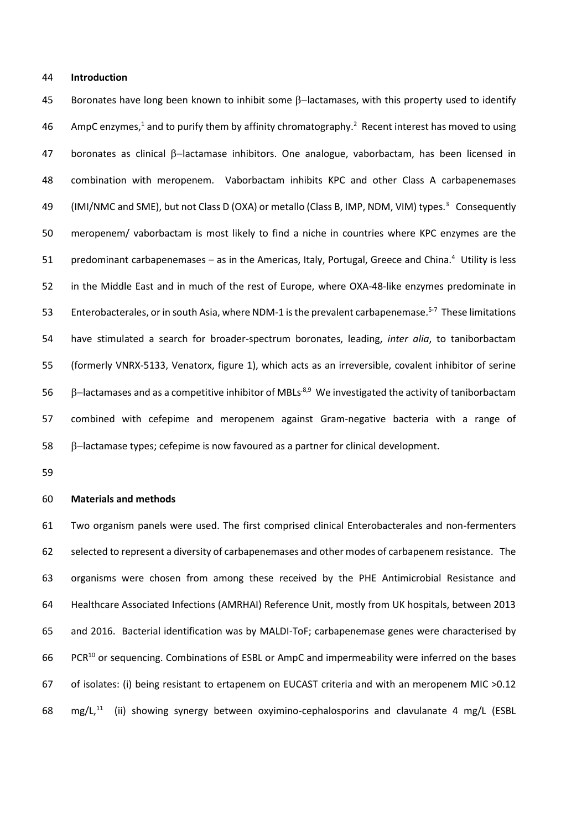#### **Introduction**

45 Boronates have long been known to inhibit some  $\beta$ -lactamases, with this property used to identify 46 AmpC enzymes,<sup>1</sup> and to purify them by affinity chromatography.<sup>2</sup> Recent interest has moved to using 47 boronates as clinical  $\beta$ -lactamase inhibitors. One analogue, vaborbactam, has been licensed in combination with meropenem. Vaborbactam inhibits KPC and other Class A carbapenemases 49 (IMI/NMC and SME), but not Class D (OXA) or metallo (Class B, IMP, NDM, VIM) types.<sup>3</sup> Consequently meropenem/ vaborbactam is most likely to find a niche in countries where KPC enzymes are the 51 predominant carbapenemases – as in the Americas, Italy, Portugal, Greece and China.<sup>4</sup> Utility is less in the Middle East and in much of the rest of Europe, where OXA-48-like enzymes predominate in 53 Enterobacterales, or in south Asia, where NDM-1 is the prevalent carbapenemase.<sup>5-7</sup> These limitations have stimulated a search for broader-spectrum boronates, leading, *inter alia*, to taniborbactam (formerly VNRX-5133, Venatorx, figure 1), which acts as an irreversible, covalent inhibitor of serine 56 β–lactamases and as a competitive inhibitor of MBLs<sup>8,9</sup> We investigated the activity of taniborbactam combined with cefepime and meropenem against Gram-negative bacteria with a range of −lactamase types; cefepime is now favoured as a partner for clinical development.

#### **Materials and methods**

 Two organism panels were used. The first comprised clinical Enterobacterales and non-fermenters selected to represent a diversity of carbapenemases and other modes of carbapenem resistance.The organisms were chosen from among these received by the PHE Antimicrobial Resistance and Healthcare Associated Infections (AMRHAI) Reference Unit, mostly from UK hospitals, between 2013 and 2016. Bacterial identification was by MALDI-ToF; carbapenemase genes were characterised by 66 PCR<sup>10</sup> or sequencing. Combinations of ESBL or AmpC and impermeability were inferred on the bases of isolates: (i) being resistant to ertapenem on EUCAST criteria and with an meropenem MIC >0.12  $mg/L$ <sup>11</sup> (ii) showing synergy between oxyimino-cephalosporins and clavulanate 4 mg/L (ESBL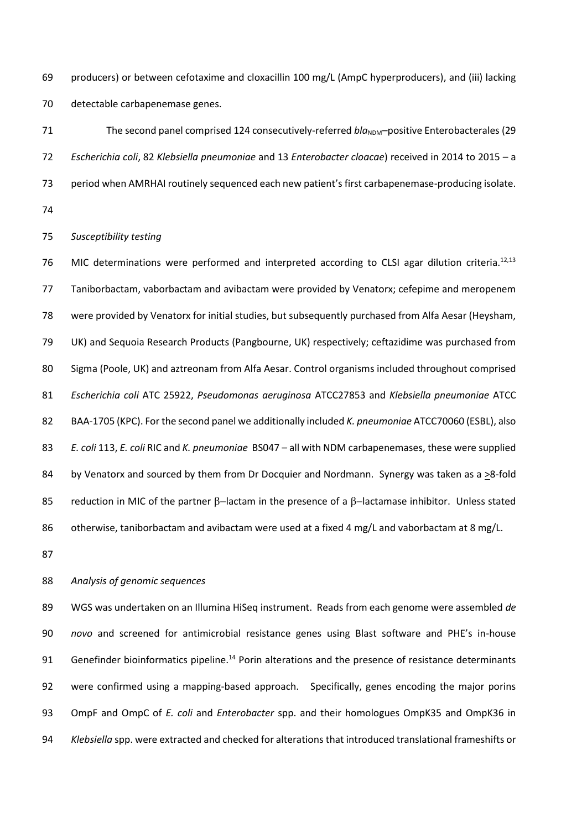producers) or between cefotaxime and cloxacillin 100 mg/L (AmpC hyperproducers), and (iii) lacking detectable carbapenemase genes.

71 The second panel comprised 124 consecutively-referred *bla*<sub>NDM</sub>–positive Enterobacterales (29 *Escherichia coli*, 82 *Klebsiella pneumoniae* and 13 *Enterobacter cloacae*) received in 2014 to 2015 – a period when AMRHAI routinely sequenced each new patient's first carbapenemase-producing isolate.

## *Susceptibility testing*

76 MIC determinations were performed and interpreted according to CLSI agar dilution criteria.<sup>12,13</sup> Taniborbactam, vaborbactam and avibactam were provided by Venatorx; cefepime and meropenem were provided by Venatorx for initial studies, but subsequently purchased from Alfa Aesar (Heysham, UK) and Sequoia Research Products (Pangbourne, UK) respectively; ceftazidime was purchased from Sigma (Poole, UK) and aztreonam from Alfa Aesar. Control organisms included throughout comprised *Escherichia coli* ATC 25922, *Pseudomonas aeruginosa* ATCC27853 and *Klebsiella pneumoniae* ATCC BAA-1705 (KPC). For the second panel we additionally included *K. pneumoniae* ATCC70060 (ESBL), also *E. coli* 113, *E. coli* RIC and *K. pneumoniae* BS047 – all with NDM carbapenemases, these were supplied by Venatorx and sourced by them from Dr Docquier and Nordmann. Synergy was taken as a >8-fold 85 reduction in MIC of the partner β–lactam in the presence of a β–lactamase inhibitor. Unless stated 86 otherwise, taniborbactam and avibactam were used at a fixed 4 mg/L and vaborbactam at 8 mg/L.

## *Analysis of genomic sequences*

 WGS was undertaken on an Illumina HiSeq instrument. Reads from each genome were assembled *de novo* and screened for antimicrobial resistance genes using Blast software and PHE's in-house 91 Genefinder bioinformatics pipeline.<sup>14</sup> Porin alterations and the presence of resistance determinants were confirmed using a mapping-based approach. Specifically, genes encoding the major porins OmpF and OmpC of *E. coli* and *Enterobacter* spp. and their homologues OmpK35 and OmpK36 in *Klebsiella* spp. were extracted and checked for alterations that introduced translational frameshifts or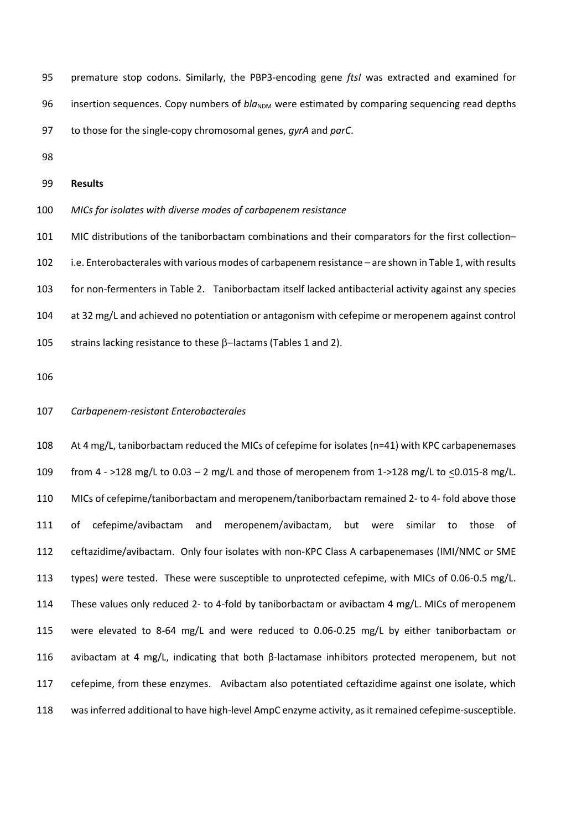- premature stop codons. Similarly, the PBP3-encoding gene *ftsI* was extracted and examined for 96 insertion sequences. Copy numbers of *bla*<sub>NDM</sub> were estimated by comparing sequencing read depths to those for the single-copy chromosomal genes, *gyrA* and *parC*.
- 

#### **Results**

*MICs for isolates with diverse modes of carbapenem resistance*

 MIC distributions of the taniborbactam combinations and their comparators for the first collection– i.e. Enterobacterales with various modes of carbapenem resistance – are shown in Table 1, with results for non-fermenters in Table 2. Taniborbactam itself lacked antibacterial activity against any species at 32 mg/L and achieved no potentiation or antagonism with cefepime or meropenem against control 105 strains lacking resistance to these β-lactams (Tables 1 and 2).

#### *Carbapenem-resistant Enterobacterales*

 At 4 mg/L, taniborbactam reduced the MICs of cefepime for isolates (n=41) with KPC carbapenemases from 4 - >128 mg/L to 0.03 – 2 mg/L and those of meropenem from 1->128 mg/L to <0.015-8 mg/L. MICs of cefepime/taniborbactam and meropenem/taniborbactam remained 2- to 4- fold above those of cefepime/avibactam and meropenem/avibactam, but were similar to those of ceftazidime/avibactam. Only four isolates with non-KPC Class A carbapenemases (IMI/NMC or SME types) were tested. These were susceptible to unprotected cefepime, with MICs of 0.06-0.5 mg/L. These values only reduced 2- to 4-fold by taniborbactam or avibactam 4 mg/L. MICs of meropenem were elevated to 8-64 mg/L and were reduced to 0.06-0.25 mg/L by either taniborbactam or 116 avibactam at 4 mg/L, indicating that both β-lactamase inhibitors protected meropenem, but not cefepime, from these enzymes. Avibactam also potentiated ceftazidime against one isolate, which was inferred additional to have high-level AmpC enzyme activity, as it remained cefepime-susceptible.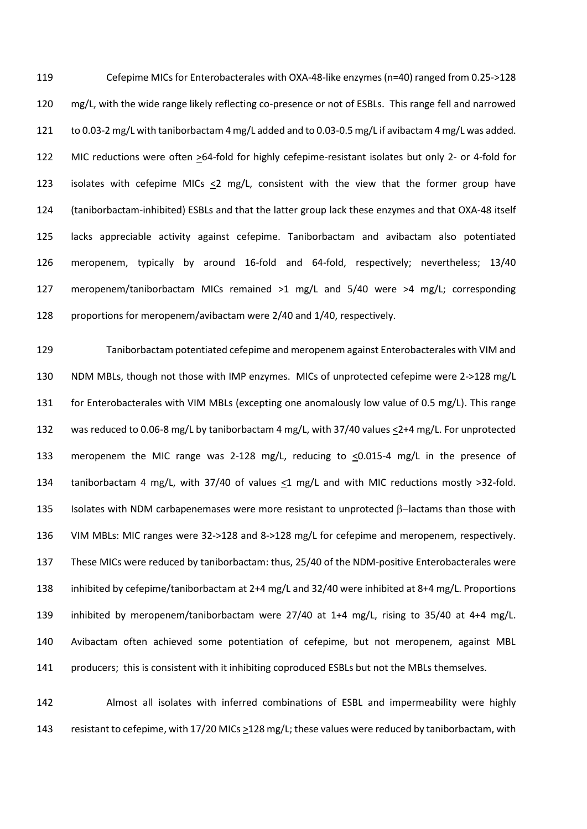Cefepime MICs for Enterobacterales with OXA-48-like enzymes (n=40) ranged from 0.25->128 mg/L, with the wide range likely reflecting co-presence or not of ESBLs. This range fell and narrowed to 0.03-2 mg/L with taniborbactam 4 mg/L added and to 0.03-0.5 mg/L if avibactam 4 mg/L was added. MIC reductions were often >64-fold for highly cefepime-resistant isolates but only 2- or 4-fold for 123 isolates with cefepime MICs  $\leq$ 2 mg/L, consistent with the view that the former group have (taniborbactam-inhibited) ESBLs and that the latter group lack these enzymes and that OXA-48 itself lacks appreciable activity against cefepime. Taniborbactam and avibactam also potentiated meropenem, typically by around 16-fold and 64-fold, respectively; nevertheless; 13/40 meropenem/taniborbactam MICs remained >1 mg/L and 5/40 were >4 mg/L; corresponding proportions for meropenem/avibactam were 2/40 and 1/40, respectively.

 Taniborbactam potentiated cefepime and meropenem against Enterobacterales with VIM and NDM MBLs, though not those with IMP enzymes. MICs of unprotected cefepime were 2->128 mg/L for Enterobacterales with VIM MBLs (excepting one anomalously low value of 0.5 mg/L). This range was reduced to 0.06-8 mg/L by taniborbactam 4 mg/L, with 37/40 values <2+4 mg/L. For unprotected 133 meropenem the MIC range was 2-128 mg/L, reducing to  $\leq 0.015$ -4 mg/L in the presence of taniborbactam 4 mg/L, with 37/40 of values *<*1 mg/L and with MIC reductions mostly >32-fold. 135 Isolates with NDM carbapenemases were more resistant to unprotected β–lactams than those with VIM MBLs: MIC ranges were 32->128 and 8->128 mg/L for cefepime and meropenem, respectively. These MICs were reduced by taniborbactam: thus, 25/40 of the NDM-positive Enterobacterales were inhibited by cefepime/taniborbactam at 2+4 mg/L and 32/40 were inhibited at 8+4 mg/L. Proportions inhibited by meropenem/taniborbactam were 27/40 at 1+4 mg/L, rising to 35/40 at 4+4 mg/L. Avibactam often achieved some potentiation of cefepime, but not meropenem, against MBL 141 producers; this is consistent with it inhibiting coproduced ESBLs but not the MBLs themselves.

 Almost all isolates with inferred combinations of ESBL and impermeability were highly resistant to cefepime, with 17/20 MICs >128 mg/L; these values were reduced by taniborbactam, with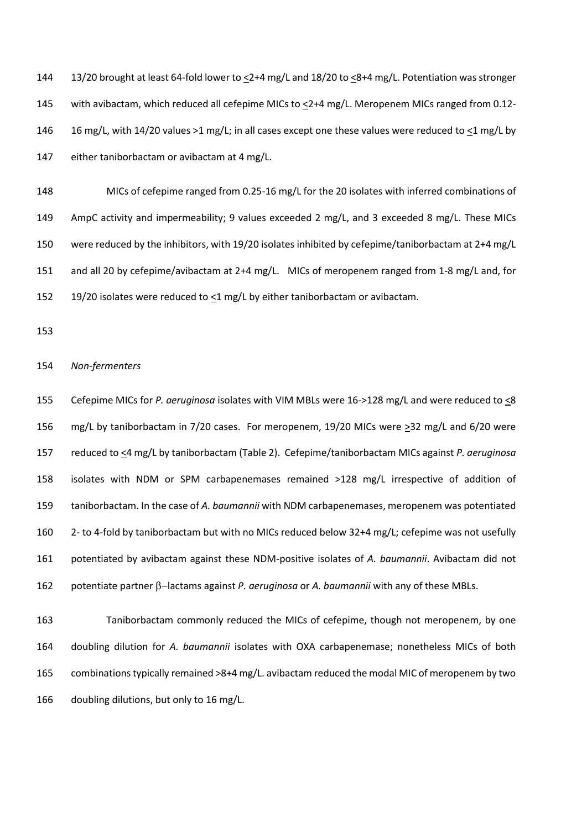144 13/20 brought at least 64-fold lower to <2+4 mg/L and 18/20 to <8+4 mg/L. Potentiation was stronger with avibactam, which reduced all cefepime MICs to <2+4 mg/L. Meropenem MICs ranged from 0.12- 16 mg/L, with 14/20 values >1 mg/L; in all cases except one these values were reduced to <1 mg/L by either taniborbactam or avibactam at 4 mg/L.

 MICs of cefepime ranged from 0.25-16 mg/L for the 20 isolates with inferred combinations of AmpC activity and impermeability; 9 values exceeded 2 mg/L, and 3 exceeded 8 mg/L. These MICs were reduced by the inhibitors, with 19/20 isolates inhibited by cefepime/taniborbactam at 2+4 mg/L and all 20 by cefepime/avibactam at 2+4 mg/L. MICs of meropenem ranged from 1-8 mg/L and, for 152 19/20 isolates were reduced to <1 mg/L by either taniborbactam or avibactam.

## *Non-fermenters*

 Cefepime MICs for *P. aeruginosa* isolates with VIM MBLs were 16->128 mg/L and were reduced to <8 156 mg/L by taniborbactam in 7/20 cases. For meropenem, 19/20 MICs were  $\geq$ 32 mg/L and 6/20 were reduced to <4 mg/L by taniborbactam (Table 2). Cefepime/taniborbactam MICs against *P. aeruginosa* isolates with NDM or SPM carbapenemases remained >128 mg/L irrespective of addition of taniborbactam. In the case of *A. baumannii* with NDM carbapenemases, meropenem was potentiated 2- to 4-fold by taniborbactam but with no MICs reduced below 32+4 mg/L; cefepime was not usefully potentiated by avibactam against these NDM-positive isolates of *A. baumannii*. Avibactam did not 162 potentiate partner β–lactams against *P. aeruginosa* or *A. baumannii* with any of these MBLs.

 Taniborbactam commonly reduced the MICs of cefepime, though not meropenem, by one doubling dilution for *A. baumannii* isolates with OXA carbapenemase; nonetheless MICs of both combinations typically remained >8+4 mg/L. avibactam reduced the modal MIC of meropenem by two doubling dilutions, but only to 16 mg/L.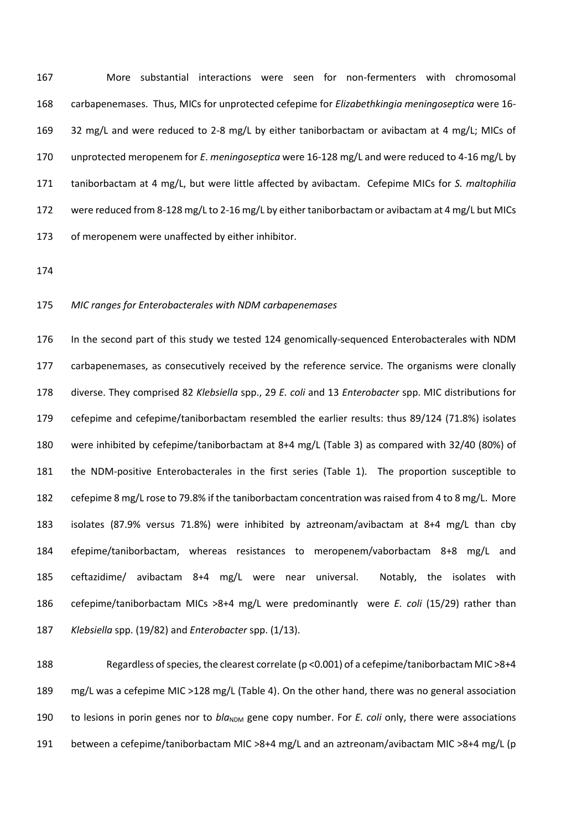More substantial interactions were seen for non-fermenters with chromosomal carbapenemases. Thus, MICs for unprotected cefepime for *Elizabethkingia meningoseptica* were 16- 32 mg/L and were reduced to 2-8 mg/L by either taniborbactam or avibactam at 4 mg/L; MICs of unprotected meropenem for *E*. *meningoseptica* were 16-128 mg/L and were reduced to 4-16 mg/L by taniborbactam at 4 mg/L, but were little affected by avibactam. Cefepime MICs for *S. maltophilia* 172 were reduced from 8-128 mg/L to 2-16 mg/L by either taniborbactam or avibactam at 4 mg/L but MICs of meropenem were unaffected by either inhibitor.

#### *MIC ranges for Enterobacterales with NDM carbapenemases*

 In the second part of this study we tested 124 genomically-sequenced Enterobacterales with NDM carbapenemases, as consecutively received by the reference service. The organisms were clonally diverse. They comprised 82 *Klebsiella* spp., 29 *E. coli* and 13 *Enterobacter* spp. MIC distributions for cefepime and cefepime/taniborbactam resembled the earlier results: thus 89/124 (71.8%) isolates were inhibited by cefepime/taniborbactam at 8+4 mg/L (Table 3) as compared with 32/40 (80%) of the NDM-positive Enterobacterales in the first series (Table 1). The proportion susceptible to cefepime 8 mg/L rose to 79.8% if the taniborbactam concentration was raised from 4 to 8 mg/L. More isolates (87.9% versus 71.8%) were inhibited by aztreonam/avibactam at 8+4 mg/L than cby efepime/taniborbactam, whereas resistances to meropenem/vaborbactam 8+8 mg/L and ceftazidime/ avibactam 8+4 mg/L were near universal. Notably, the isolates with cefepime/taniborbactam MICs >8+4 mg/L were predominantly were *E. coli* (15/29) rather than *Klebsiella* spp. (19/82) and *Enterobacter* spp. (1/13).

 Regardless of species, the clearest correlate (p <0.001) of a cefepime/taniborbactam MIC >8+4 mg/L was a cefepime MIC >128 mg/L (Table 4). On the other hand, there was no general association 190 to lesions in porin genes nor to *bla*<sub>NDM</sub> gene copy number. For *E. coli* only, there were associations between a cefepime/taniborbactam MIC >8+4 mg/L and an aztreonam/avibactam MIC >8+4 mg/L (p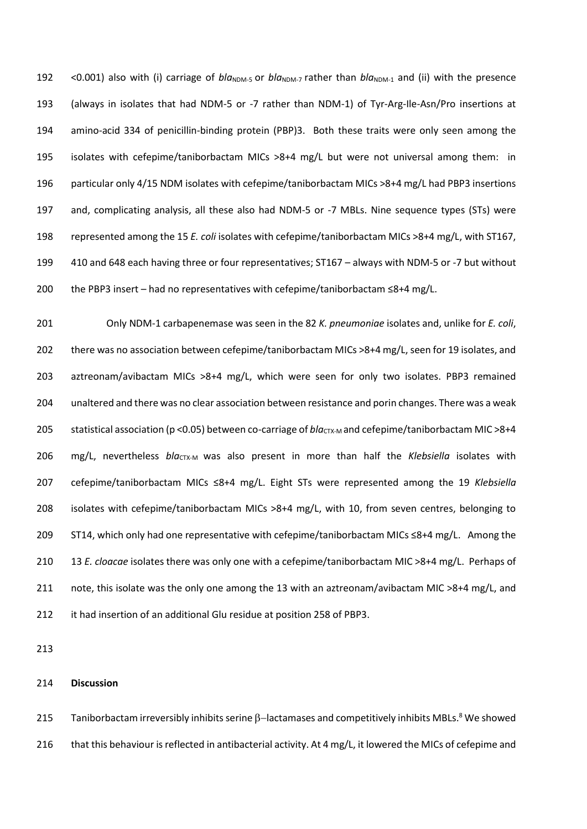192 <0.001) also with (i) carriage of *bla*<sub>NDM-5</sub> or *bla*<sub>NDM-7</sub> rather than *bla*<sub>NDM-1</sub> and (ii) with the presence (always in isolates that had NDM-5 or -7 rather than NDM-1) of Tyr-Arg-Ile-Asn/Pro insertions at amino-acid 334 of penicillin-binding protein (PBP)3. Both these traits were only seen among the isolates with cefepime/taniborbactam MICs >8+4 mg/L but were not universal among them: in particular only 4/15 NDM isolates with cefepime/taniborbactam MICs >8+4 mg/L had PBP3 insertions and, complicating analysis, all these also had NDM-5 or -7 MBLs. Nine sequence types (STs) were represented among the 15 *E. coli* isolates with cefepime/taniborbactam MICs >8+4 mg/L, with ST167, 410 and 648 each having three or four representatives; ST167 – always with NDM-5 or -7 but without 200 the PBP3 insert – had no representatives with cefepime/taniborbactam  $\leq 8+4$  mg/L.

 Only NDM-1 carbapenemase was seen in the 82 *K. pneumoniae* isolates and, unlike for *E. coli*, 202 there was no association between cefepime/taniborbactam MICs >8+4 mg/L, seen for 19 isolates, and aztreonam/avibactam MICs >8+4 mg/L, which were seen for only two isolates. PBP3 remained unaltered and there was no clear association between resistance and porin changes. There was a weak 205 statistical association (p < 0.05) between co-carriage of *blacTX-M* and cefepime/taniborbactam MIC > 8+4 206 mg/L, nevertheless *blactx-M* was also present in more than half the *Klebsiella* isolates with cefepime/taniborbactam MICs ≤8+4 mg/L. Eight STs were represented among the 19 *Klebsiella* isolates with cefepime/taniborbactam MICs >8+4 mg/L, with 10, from seven centres, belonging to ST14, which only had one representative with cefepime/taniborbactam MICs ≤8+4 mg/L. Among the 13 *E. cloacae* isolates there was only one with a cefepime/taniborbactam MIC >8+4 mg/L. Perhaps of 211 note, this isolate was the only one among the 13 with an aztreonam/avibactam MIC >8+4 mg/L, and it had insertion of an additional Glu residue at position 258 of PBP3.

## **Discussion**

Taniborbactam irreversibly inhibits serine β–lactamases and competitively inhibits MBLs.<sup>8</sup> We showed 216 that this behaviour is reflected in antibacterial activity. At 4 mg/L, it lowered the MICs of cefepime and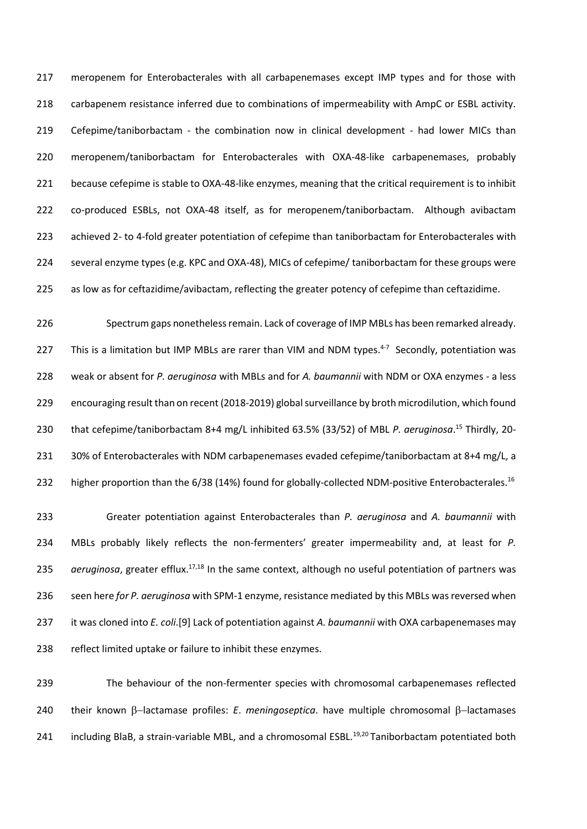meropenem for Enterobacterales with all carbapenemases except IMP types and for those with carbapenem resistance inferred due to combinations of impermeability with AmpC or ESBL activity. Cefepime/taniborbactam - the combination now in clinical development - had lower MICs than meropenem/taniborbactam for Enterobacterales with OXA-48-like carbapenemases, probably because cefepime is stable to OXA-48-like enzymes, meaning that the critical requirement is to inhibit co-produced ESBLs, not OXA-48 itself, as for meropenem/taniborbactam. Although avibactam achieved 2- to 4-fold greater potentiation of cefepime than taniborbactam for Enterobacterales with several enzyme types (e.g. KPC and OXA-48), MICs of cefepime/ taniborbactam for these groups were as low as for ceftazidime/avibactam, reflecting the greater potency of cefepime than ceftazidime.

 Spectrum gaps nonetheless remain. Lack of coverage of IMP MBLs has been remarked already. 227 This is a limitation but IMP MBLs are rarer than VIM and NDM types. $4-7$  Secondly, potentiation was weak or absent for *P. aeruginosa* with MBLs and for *A. baumannii* with NDM or OXA enzymes - a less encouraging result than on recent (2018-2019) global surveillance by broth microdilution, which found 230 that cefepime/taniborbactam 8+4 mg/L inhibited 63.5% (33/52) of MBL P. aeruginosa.<sup>15</sup> Thirdly, 20-231 30% of Enterobacterales with NDM carbapenemases evaded cefepime/taniborbactam at 8+4 mg/L, a 232 higher proportion than the 6/38 (14%) found for globally-collected NDM-positive Enterobacterales.<sup>16</sup>

 Greater potentiation against Enterobacterales than *P. aeruginosa* and *A. baumannii* with MBLs probably likely reflects the non-fermenters' greater impermeability and, at least for *P. aeruginosa*, greater efflux.<sup>17,18</sup> In the same context, although no useful potentiation of partners was seen here *for P. aeruginosa* with SPM-1 enzyme, resistance mediated by this MBLs was reversed when it was cloned into *E. coli*.[9] Lack of potentiation against *A. baumannii* with OXA carbapenemases may reflect limited uptake or failure to inhibit these enzymes.

 The behaviour of the non-fermenter species with chromosomal carbapenemases reflected 240 their known β-lactamase profiles: *E. meningoseptica*. have multiple chromosomal β-lactamases 241 including BlaB, a strain-variable MBL, and a chromosomal ESBL.<sup>19,20</sup> Taniborbactam potentiated both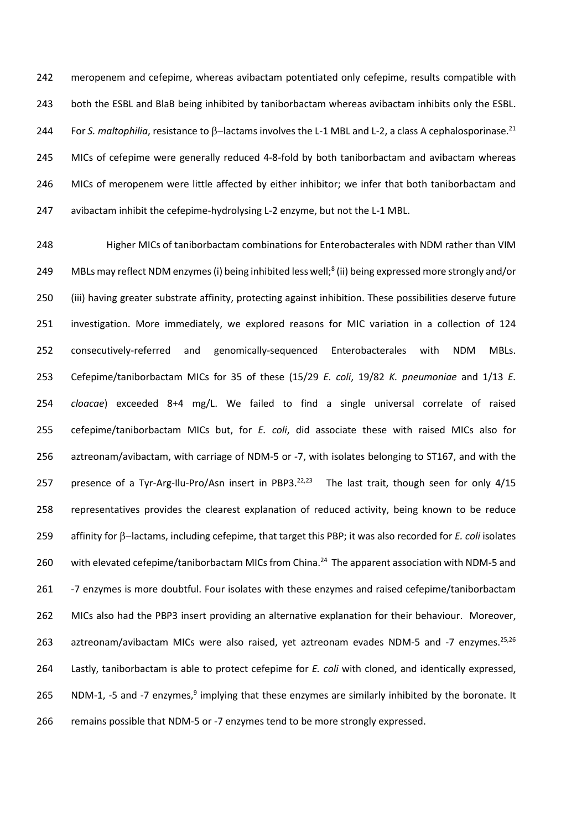meropenem and cefepime, whereas avibactam potentiated only cefepime, results compatible with both the ESBL and BlaB being inhibited by taniborbactam whereas avibactam inhibits only the ESBL. For *S. maltophilia*, resistance to β–lactams involves the L-1 MBL and L-2, a class A cephalosporinase.<sup>21</sup> 244 MICs of cefepime were generally reduced 4-8-fold by both taniborbactam and avibactam whereas MICs of meropenem were little affected by either inhibitor; we infer that both taniborbactam and avibactam inhibit the cefepime-hydrolysing L-2 enzyme, but not the L-1 MBL.

 Higher MICs of taniborbactam combinations for Enterobacterales with NDM rather than VIM 249 MBLs may reflect NDM enzymes (i) being inhibited less well;<sup>8</sup> (ii) being expressed more strongly and/or (iii) having greater substrate affinity, protecting against inhibition. These possibilities deserve future investigation. More immediately, we explored reasons for MIC variation in a collection of 124 consecutively-referred and genomically-sequenced Enterobacterales with NDM MBLs. Cefepime/taniborbactam MICs for 35 of these (15/29 *E. coli*, 19/82 *K. pneumoniae* and 1/13 *E. cloacae*) exceeded 8+4 mg/L. We failed to find a single universal correlate of raised cefepime/taniborbactam MICs but, for *E. coli*, did associate these with raised MICs also for aztreonam/avibactam, with carriage of NDM-5 or -7, with isolates belonging to ST167, and with the 257 presence of a Tyr-Arg-Ilu-Pro/Asn insert in PBP3.<sup>22,23</sup> The last trait, though seen for only  $4/15$  representatives provides the clearest explanation of reduced activity, being known to be reduce 259 affinity for β-lactams, including cefepime, that target this PBP; it was also recorded for *E. coli* isolates 260 with elevated cefepime/taniborbactam MICs from China.<sup>24</sup> The apparent association with NDM-5 and 261 -7 enzymes is more doubtful. Four isolates with these enzymes and raised cefepime/taniborbactam MICs also had the PBP3 insert providing an alternative explanation for their behaviour. Moreover, 263 aztreonam/avibactam MICs were also raised, yet aztreonam evades NDM-5 and -7 enzymes.<sup>25,26</sup> Lastly, taniborbactam is able to protect cefepime for *E. coli* with cloned, and identically expressed, 265 NDM-1, -5 and -7 enzymes, implying that these enzymes are similarly inhibited by the boronate. It remains possible that NDM-5 or -7 enzymes tend to be more strongly expressed.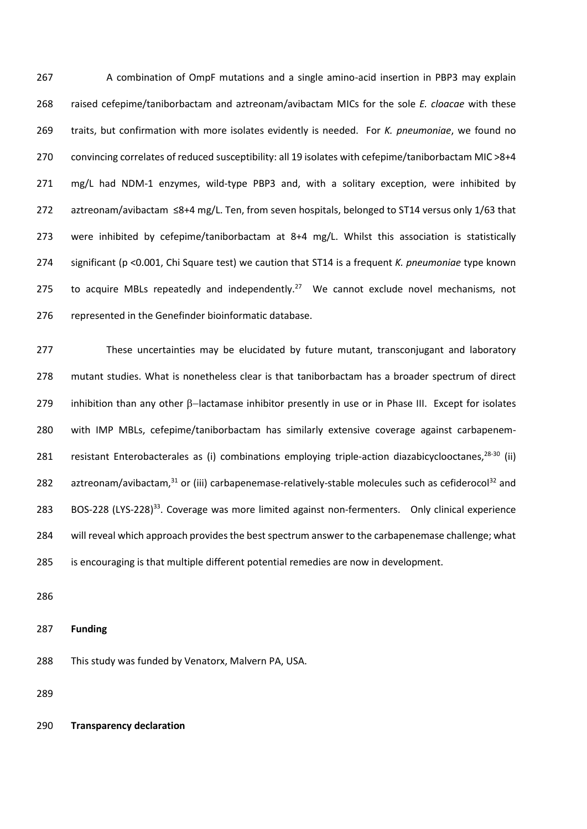A combination of OmpF mutations and a single amino-acid insertion in PBP3 may explain raised cefepime/taniborbactam and aztreonam/avibactam MICs for the sole *E. cloacae* with these traits, but confirmation with more isolates evidently is needed. For *K. pneumoniae*, we found no convincing correlates of reduced susceptibility: all 19 isolates with cefepime/taniborbactam MIC >8+4 mg/L had NDM-1 enzymes, wild-type PBP3 and, with a solitary exception, were inhibited by aztreonam/avibactam ≤8+4 mg/L. Ten, from seven hospitals, belonged to ST14 versus only 1/63 that were inhibited by cefepime/taniborbactam at 8+4 mg/L. Whilst this association is statistically significant (p <0.001, Chi Square test) we caution that ST14 is a frequent *K. pneumoniae* type known 275 to acquire MBLs repeatedly and independently.<sup>27</sup> We cannot exclude novel mechanisms, not represented in the Genefinder bioinformatic database.

 These uncertainties may be elucidated by future mutant, transconjugant and laboratory mutant studies. What is nonetheless clear is that taniborbactam has a broader spectrum of direct 279 inhibition than any other β-lactamase inhibitor presently in use or in Phase III. Except for isolates with IMP MBLs, cefepime/taniborbactam has similarly extensive coverage against carbapenem-281 resistant Enterobacterales as (i) combinations employing triple-action diazabicyclooctanes,  $^{28-30}$  (ii) 282 aztreonam/avibactam, or (iii) carbapenemase-relatively-stable molecules such as cefiderocol<sup>32</sup> and 283 BOS-228 (LYS-228)<sup>33</sup>. Coverage was more limited against non-fermenters. Only clinical experience will reveal which approach provides the best spectrum answer to the carbapenemase challenge; what is encouraging is that multiple different potential remedies are now in development.

**Funding**

This study was funded by Venatorx, Malvern PA, USA.

**Transparency declaration**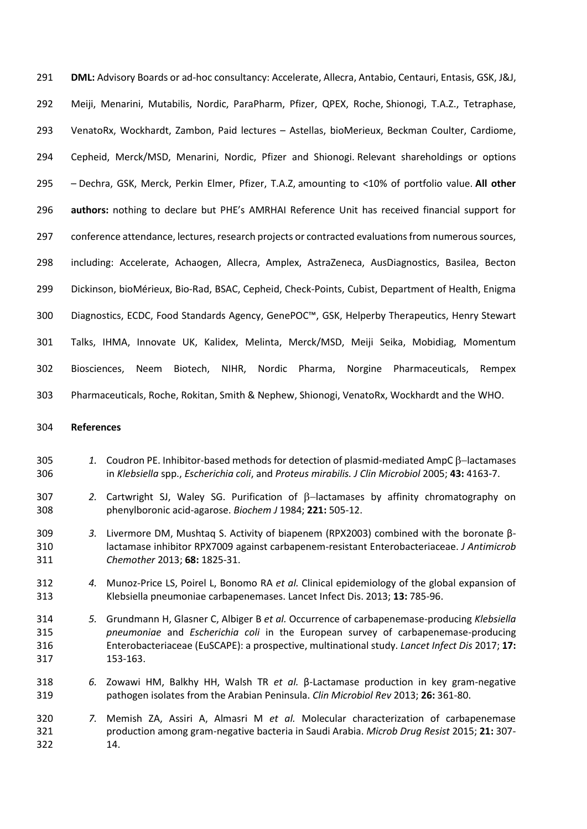**DML:** Advisory Boards or ad-hoc consultancy: Accelerate, Allecra, Antabio, Centauri, Entasis, GSK, J&J, Meiji, Menarini, Mutabilis, Nordic, ParaPharm, Pfizer, QPEX, Roche, Shionogi, T.A.Z., Tetraphase, VenatoRx, Wockhardt, Zambon, Paid lectures – Astellas, bioMerieux, Beckman Coulter, Cardiome, Cepheid, Merck/MSD, Menarini, Nordic, Pfizer and Shionogi. Relevant shareholdings or options – Dechra, GSK, Merck, Perkin Elmer, Pfizer, T.A.Z, amounting to <10% of portfolio value. **All other authors:** nothing to declare but PHE's AMRHAI Reference Unit has received financial support for conference attendance, lectures, research projects or contracted evaluations from numerous sources, including: Accelerate, Achaogen, Allecra, Amplex, AstraZeneca, AusDiagnostics, Basilea, Becton Dickinson, bioMérieux, Bio-Rad, BSAC, Cepheid, Check-Points, Cubist, Department of Health, Enigma Diagnostics, ECDC, Food Standards Agency, GenePOC™, GSK, Helperby Therapeutics, Henry Stewart Talks, IHMA, Innovate UK, Kalidex, Melinta, Merck/MSD, Meiji Seika, Mobidiag, Momentum Biosciences, Neem Biotech, NIHR, Nordic Pharma, Norgine Pharmaceuticals, Rempex Pharmaceuticals, Roche, Rokitan, Smith & Nephew, Shionogi, VenatoRx, Wockhardt and the WHO.

## **References**

- 305 1. Coudron PE. Inhibitor-based methods for detection of plasmid-mediated AmpC B-lactamases in *Klebsiella* spp., *Escherichia coli*, and *Proteus mirabilis. J Clin Microbiol* 2005; **43:** 4163-7.
- 307 2. Cartwright SJ, Waley SG. Purification of  $\beta$ -lactamases by affinity chromatography on phenylboronic acid-agarose. *Biochem J* 1984; **221:** 505-12.
- *3.* Livermore DM, Mushtaq S. Activity of biapenem (RPX2003) combined with the boronate β- lactamase inhibitor RPX7009 against carbapenem-resistant Enterobacteriaceae. *J Antimicrob Chemother* 2013; **68:** 1825-31.
- *4.* Munoz-Price LS, Poirel L, Bonomo RA *et al.* Clinical epidemiology of the global expansion of Klebsiella pneumoniae carbapenemases. Lancet Infect Dis. 2013; **13:** 785-96.
- *5.* Grundmann H, Glasner C, Albiger B *et al.* Occurrence of carbapenemase-producing *Klebsiella pneumoniae* and *Escherichia coli* in the European survey of carbapenemase-producing Enterobacteriaceae (EuSCAPE): a prospective, multinational study. *Lancet Infect Dis* 2017; **17:** 153-163.
- *6.* Zowawi HM, Balkhy HH, Walsh TR *et al.* β-Lactamase production in key gram-negative pathogen isolates from the Arabian Peninsula. *Clin Microbiol Rev* 2013; **26:** 361-80.
- *7.* Memish ZA, Assiri A, Almasri M *et al.* Molecular characterization of carbapenemase production among gram-negative bacteria in Saudi Arabia. *Microb Drug Resist* 2015; **21:** 307- 14.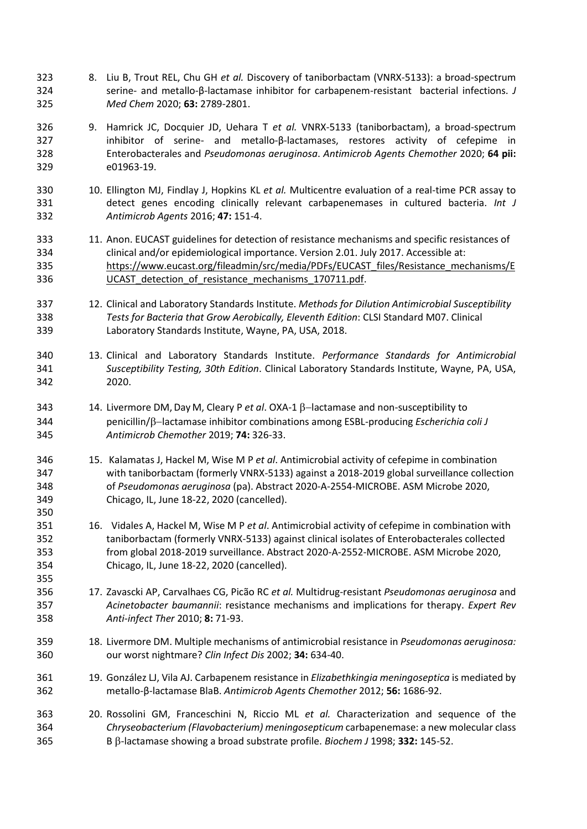- 8. Liu B, Trout REL, Chu GH *et al.* Discovery of taniborbactam (VNRX-5133): a broad-spectrum serine- and metallo-β-lactamase inhibitor for carbapenem-resistant bacterial infections. *J Med Chem* 2020; **63:** 2789-2801.
- 9. Hamrick JC, Docquier JD, Uehara T *et al.* VNRX-5133 (taniborbactam), a broad-spectrum inhibitor of serine- and metallo-β-lactamases, restores activity of cefepime in Enterobacterales and *Pseudomonas aeruginosa*. *Antimicrob Agents Chemother* 2020; **64 pii:** e01963-19.
- 10. Ellington MJ, Findlay J, Hopkins KL *et al.* Multicentre evaluation of a real-time PCR assay to detect genes encoding clinically relevant carbapenemases in cultured bacteria. *Int J Antimicrob Agents* 2016; **47:** 151-4.
- 11. Anon. EUCAST guidelines for detection of resistance mechanisms and specific resistances of clinical and/or epidemiological importance. Version 2.01. July 2017. Accessible at: [https://www.eucast.org/fileadmin/src/media/PDFs/EUCAST\\_files/Resistance\\_mechanisms/E](https://www.eucast.org/fileadmin/src/media/PDFs/EUCAST_files/Resistance_mechanisms/EUCAST_detection_of_resistance_mechanisms_170711.pdf) 336 UCAST detection of resistance mechanisms 170711.pdf.
- 12. Clinical and Laboratory Standards Institute. *Methods for Dilution Antimicrobial Susceptibility Tests for Bacteria that Grow Aerobically, Eleventh Edition*: CLSI Standard M07. Clinical Laboratory Standards Institute, Wayne, PA, USA, 2018.
- 13. Clinical and Laboratory Standards Institute. *Performance Standards for Antimicrobial Susceptibility Testing, 30th Edition*. Clinical Laboratory Standards Institute, Wayne, PA, USA, 2020.
- 343 14. Livermore DM, Day M, Cleary P *et al*. OXA-1  $\beta$ -lactamase and non-susceptibility to 344 penicillin/β-lactamase inhibitor combinations among ESBL-producing *Escherichia coli J Antimicrob Chemother* 2019; **74:** 326-33.

- 15. Kalamatas J, Hackel M, Wise M P *et al*. Antimicrobial activity of cefepime in combination with taniborbactam (formerly VNRX-5133) against a 2018-2019 global surveillance collection of *Pseudomonas aeruginosa* (pa). Abstract 2020-A-2554-MICROBE. ASM Microbe 2020, Chicago, IL, June 18-22, 2020 (cancelled).
- 16. Vidales A, Hackel M, Wise M P *et al*. Antimicrobial activity of cefepime in combination with taniborbactam (formerly VNRX-5133) against clinical isolates of Enterobacterales collected from global 2018-2019 surveillance. Abstract 2020-A-2552-MICROBE. ASM Microbe 2020, Chicago, IL, June 18-22, 2020 (cancelled).
- 17. Zavascki AP, Carvalhaes CG, Picão RC *et al.* Multidrug-resistant *Pseudomonas aeruginosa* and *Acinetobacter baumannii*: resistance mechanisms and implications for therapy. *Expert Rev Anti-infect Ther* 2010; **8:** 71-93.
- 18. Livermore DM. Multiple mechanisms of antimicrobial resistance in *Pseudomonas aeruginosa:* our worst nightmare? *Clin Infect Dis* 2002; **34:** 634-40.
- 19. González LJ, Vila AJ. Carbapenem resistance in *Elizabethkingia meningoseptica* is mediated by metallo-β-lactamase BlaB. *Antimicrob Agents Chemother* 2012; **56:** 1686-92.
- 20. Rossolini GM, Franceschini N, Riccio ML *et al.* Characterization and sequence of the *Chryseobacterium (Flavobacterium) meningosepticum* carbapenemase: a new molecular class 365 B β-lactamase showing a broad substrate profile. *Biochem J* 1998; **332:** 145-52.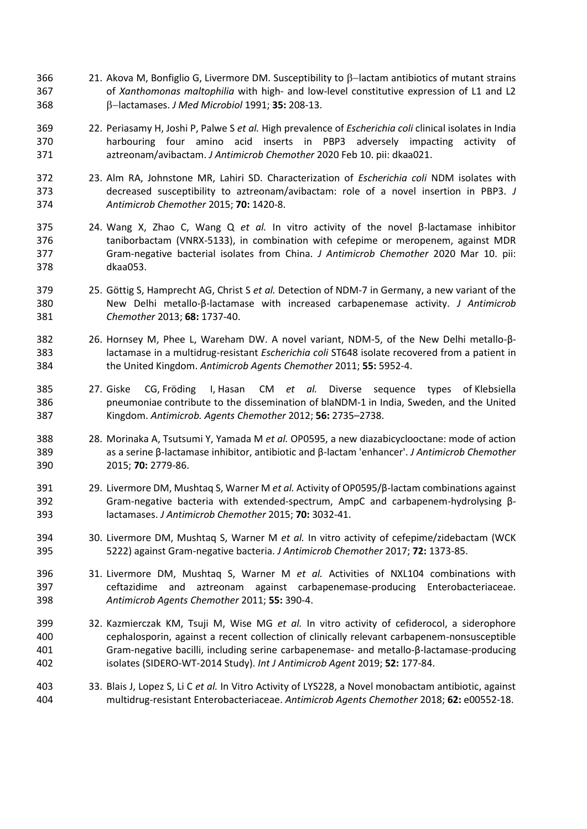- 366 21. Akova M, Bonfiglio G, Livermore DM. Susceptibility to β-lactam antibiotics of mutant strains of *Xanthomonas maltophilia* with high- and low-level constitutive expression of L1 and L2 −lactamases. *J Med Microbiol* 1991; **35:** 208-13.
- 22. Periasamy H, Joshi P, Palwe S *et al.* High prevalence of *Escherichia coli* clinical isolates in India harbouring four amino acid inserts in PBP3 adversely impacting activity of aztreonam/avibactam. *J Antimicrob Chemother* 2020 Feb 10. pii: dkaa021.
- 23. Alm RA, Johnstone MR, Lahiri SD. Characterization of *Escherichia coli* NDM isolates with decreased susceptibility to aztreonam/avibactam: role of a novel insertion in PBP3. *J Antimicrob Chemother* 2015; **70:** 1420-8.
- 24. Wang X, Zhao C, Wang Q *et al.* In vitro activity of the novel β-lactamase inhibitor taniborbactam (VNRX-5133), in combination with cefepime or meropenem, against MDR Gram-negative bacterial isolates from China. *J Antimicrob Chemother* 2020 Mar 10. pii: dkaa053.
- 25. Göttig S, Hamprecht AG, Christ S *et al.* Detection of NDM-7 in Germany, a new variant of the New Delhi metallo-β-lactamase with increased carbapenemase activity. *J Antimicrob Chemother* 2013; **68:** 1737-40.
- 26. Hornsey M, Phee L, Wareham DW. A novel variant, NDM-5, of the New Delhi metallo-β- lactamase in a multidrug-resistant *Escherichia coli* ST648 isolate recovered from a patient in the United Kingdom. *Antimicrob Agents Chemother* 2011; **55:** 5952-4.
- 27. Giske CG, Fröding I, Hasan CM *et al.* Diverse sequence types of Klebsiella pneumoniae contribute to the dissemination of blaNDM-1 in India, Sweden, and the United Kingdom. *Antimicrob. Agents Chemother* 2012; **56:** 2735–2738.
- 28. Morinaka A, Tsutsumi Y, Yamada M *et al.* OP0595, a new diazabicyclooctane: mode of action as a serine β-lactamase inhibitor, antibiotic and β-lactam 'enhancer'. *J Antimicrob Chemother* 2015; **70:** 2779-86.
- 29. Livermore DM, Mushtaq S, Warner M *et al.* Activity of OP0595/β-lactam combinations against Gram-negative bacteria with extended-spectrum, AmpC and carbapenem-hydrolysing β-lactamases. *J Antimicrob Chemother* 2015; **70:** 3032-41.
- 30. Livermore DM, Mushtaq S, Warner M *et al.* In vitro activity of cefepime/zidebactam (WCK 5222) against Gram-negative bacteria. *J Antimicrob Chemother* 2017; **72:** 1373-85.
- 31. Livermore DM, Mushtaq S, Warner M *et al.* Activities of NXL104 combinations with ceftazidime and aztreonam against carbapenemase-producing Enterobacteriaceae. *Antimicrob Agents Chemother* 2011; **55:** 390-4.
- 32. Kazmierczak KM, Tsuji M, Wise MG *et al.* In vitro activity of cefiderocol, a siderophore cephalosporin, against a recent collection of clinically relevant carbapenem-nonsusceptible Gram-negative bacilli, including serine carbapenemase- and metallo-β-lactamase-producing isolates (SIDERO-WT-2014 Study). *Int J Antimicrob Agent* 2019; **52:** 177-84.
- 33. Blais J, Lopez S, Li C *et al.* In Vitro Activity of LYS228, a Novel monobactam antibiotic, against multidrug-resistant Enterobacteriaceae. *Antimicrob Agents Chemother* 2018; **62:** e00552-18.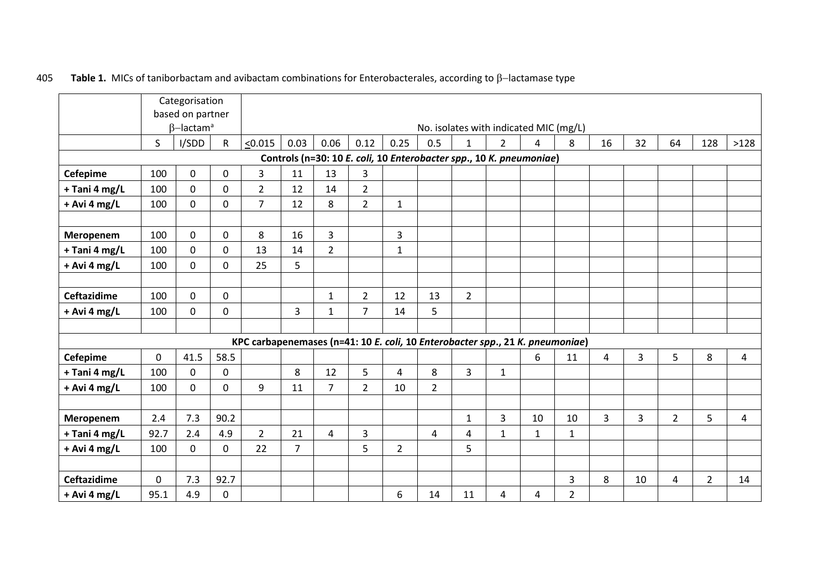|                    |             | Categorisation<br>based on partner |              |                                                                               |                |                |                |                                                                     |                                        |                |                |              |                |    |    |                |                |      |
|--------------------|-------------|------------------------------------|--------------|-------------------------------------------------------------------------------|----------------|----------------|----------------|---------------------------------------------------------------------|----------------------------------------|----------------|----------------|--------------|----------------|----|----|----------------|----------------|------|
|                    |             | $\beta$ -lactam <sup>a</sup>       |              |                                                                               |                |                |                |                                                                     | No. isolates with indicated MIC (mg/L) |                |                |              |                |    |    |                |                |      |
|                    | S           | I/SDD                              | $\mathsf{R}$ | < 0.015                                                                       | 0.03           | 0.06           | 0.12           | 0.25                                                                | 0.5                                    | $\mathbf{1}$   | $\overline{2}$ | 4            | 8              | 16 | 32 | 64             | 128            | >128 |
|                    |             |                                    |              |                                                                               |                |                |                | Controls (n=30: 10 E. coli, 10 Enterobacter spp., 10 K. pneumoniae) |                                        |                |                |              |                |    |    |                |                |      |
| <b>Cefepime</b>    | 100         | 0                                  | $\mathbf 0$  | $\overline{3}$                                                                | 11             | 13             | 3              |                                                                     |                                        |                |                |              |                |    |    |                |                |      |
| + Tani 4 mg/L      | 100         | 0                                  | $\mathbf 0$  | $\overline{2}$                                                                | 12             | 14             | $\overline{2}$ |                                                                     |                                        |                |                |              |                |    |    |                |                |      |
| + Avi 4 mg/L       | 100         | $\mathbf 0$                        | $\mathbf 0$  | $\overline{7}$                                                                | 12             | 8              | $\overline{2}$ | $\mathbf{1}$                                                        |                                        |                |                |              |                |    |    |                |                |      |
|                    |             |                                    |              |                                                                               |                |                |                |                                                                     |                                        |                |                |              |                |    |    |                |                |      |
| Meropenem          | 100         | 0                                  | 0            | 8                                                                             | 16             | 3              |                | 3                                                                   |                                        |                |                |              |                |    |    |                |                |      |
| + Tani 4 mg/L      | 100         | 0                                  | $\mathbf 0$  | 13                                                                            | 14             | $\overline{2}$ |                | 1                                                                   |                                        |                |                |              |                |    |    |                |                |      |
| + Avi 4 mg/L       | 100         | 0                                  | 0            | 25                                                                            | 5              |                |                |                                                                     |                                        |                |                |              |                |    |    |                |                |      |
| <b>Ceftazidime</b> | 100         | 0                                  | 0            |                                                                               |                | $\mathbf{1}$   | $\overline{2}$ | 12                                                                  | 13                                     | $\overline{2}$ |                |              |                |    |    |                |                |      |
| + Avi 4 mg/L       | 100         | 0                                  | 0            |                                                                               | 3              | $\mathbf{1}$   | 7              | 14                                                                  | 5                                      |                |                |              |                |    |    |                |                |      |
|                    |             |                                    |              |                                                                               |                |                |                |                                                                     |                                        |                |                |              |                |    |    |                |                |      |
|                    |             |                                    |              | KPC carbapenemases (n=41: 10 E. coli, 10 Enterobacter spp., 21 K. pneumoniae) |                |                |                |                                                                     |                                        |                |                |              |                |    |    |                |                |      |
| Cefepime           | $\mathbf 0$ | 41.5                               | 58.5         |                                                                               |                |                |                |                                                                     |                                        |                |                | 6            | 11             | 4  | 3  | 5              | 8              | 4    |
| + Tani 4 mg/L      | 100         | 0                                  | 0            |                                                                               | 8              | 12             | 5              | $\overline{4}$                                                      | 8                                      | $\overline{3}$ | $\mathbf{1}$   |              |                |    |    |                |                |      |
| + Avi 4 mg/L       | 100         | 0                                  | 0            | 9                                                                             | 11             | $\overline{7}$ | $\overline{2}$ | 10                                                                  | $\overline{2}$                         |                |                |              |                |    |    |                |                |      |
|                    |             |                                    |              |                                                                               |                |                |                |                                                                     |                                        |                |                |              |                |    |    |                |                |      |
| Meropenem          | 2.4         | 7.3                                | 90.2         |                                                                               |                |                |                |                                                                     |                                        | $\mathbf{1}$   | $\overline{3}$ | 10           | 10             | 3  | 3  | $\overline{2}$ | 5              | 4    |
| + Tani 4 mg/L      | 92.7        | 2.4                                | 4.9          | $\overline{2}$                                                                | 21             | 4              | 3              |                                                                     | 4                                      | 4              | $\mathbf{1}$   | $\mathbf{1}$ | $\mathbf{1}$   |    |    |                |                |      |
| + Avi 4 mg/L       | 100         | 0                                  | $\mathbf 0$  | 22                                                                            | $\overline{7}$ |                | 5              | $\overline{2}$                                                      |                                        | 5              |                |              |                |    |    |                |                |      |
|                    |             |                                    |              |                                                                               |                |                |                |                                                                     |                                        |                |                |              |                |    |    |                |                |      |
| <b>Ceftazidime</b> | $\mathbf 0$ | 7.3                                | 92.7         |                                                                               |                |                |                |                                                                     |                                        |                |                |              | $\overline{3}$ | 8  | 10 | 4              | $\overline{2}$ | 14   |
| $+$ Avi 4 mg/L     | 95.1        | 4.9                                | 0            |                                                                               |                |                |                | 6                                                                   | 14                                     | 11             | 4              | 4            | $\overline{2}$ |    |    |                |                |      |

# 405 Table 1. MICs of taniborbactam and avibactam combinations for Enterobacterales, according to β-lactamase type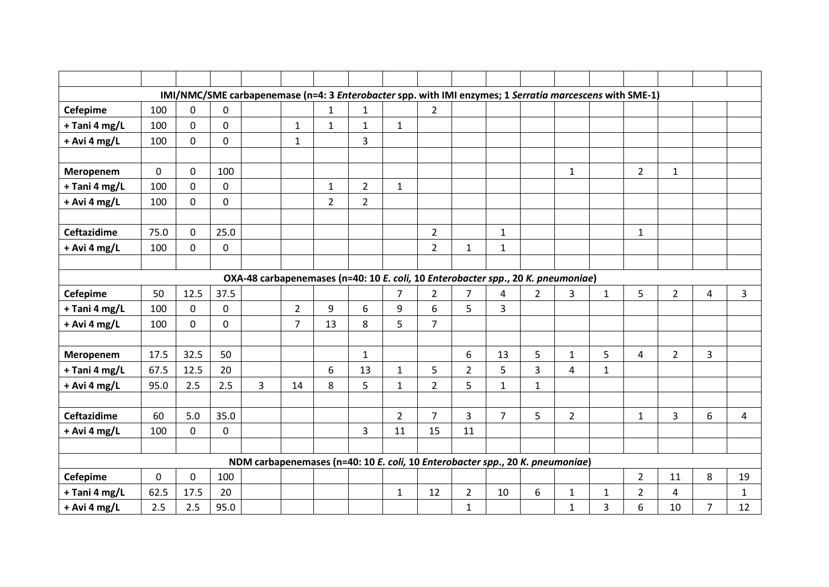|                    |             |             |              | IMI/NMC/SME carbapenemase (n=4: 3 Enterobacter spp. with IMI enzymes; 1 Serratia marcescens with SME-1) |                |                |                |                |                |                |                |                |                |              |                |                |                |              |
|--------------------|-------------|-------------|--------------|---------------------------------------------------------------------------------------------------------|----------------|----------------|----------------|----------------|----------------|----------------|----------------|----------------|----------------|--------------|----------------|----------------|----------------|--------------|
| <b>Cefepime</b>    | 100         | $\mathbf 0$ | $\mathbf{0}$ |                                                                                                         |                | $\mathbf{1}$   | $\mathbf{1}$   |                | $\overline{2}$ |                |                |                |                |              |                |                |                |              |
| + Tani 4 mg/L      | 100         | $\mathbf 0$ | 0            |                                                                                                         | $\mathbf{1}$   | $\mathbf{1}$   | $\mathbf{1}$   | $\mathbf{1}$   |                |                |                |                |                |              |                |                |                |              |
| + Avi 4 mg/L       | 100         | $\mathbf 0$ | $\mathbf 0$  |                                                                                                         | $\mathbf{1}$   |                | 3              |                |                |                |                |                |                |              |                |                |                |              |
|                    |             |             |              |                                                                                                         |                |                |                |                |                |                |                |                |                |              |                |                |                |              |
| Meropenem          | $\mathbf 0$ | $\mathbf 0$ | 100          |                                                                                                         |                |                |                |                |                |                |                |                | $\mathbf 1$    |              | $\overline{2}$ | $\mathbf{1}$   |                |              |
| + Tani 4 mg/L      | 100         | $\mathbf 0$ | $\mathbf 0$  |                                                                                                         |                | $\mathbf{1}$   | $\overline{2}$ | $\mathbf{1}$   |                |                |                |                |                |              |                |                |                |              |
| + Avi 4 mg/L       | 100         | $\mathbf 0$ | $\mathbf 0$  |                                                                                                         |                | $\overline{2}$ | $\overline{2}$ |                |                |                |                |                |                |              |                |                |                |              |
|                    |             |             |              |                                                                                                         |                |                |                |                |                |                |                |                |                |              |                |                |                |              |
| <b>Ceftazidime</b> | 75.0        | $\mathbf 0$ | 25.0         |                                                                                                         |                |                |                |                | $\overline{2}$ |                | $\mathbf{1}$   |                |                |              | $\mathbf{1}$   |                |                |              |
| + Avi 4 mg/L       | 100         | $\mathbf 0$ | $\mathbf 0$  |                                                                                                         |                |                |                |                | $\overline{2}$ | $\mathbf{1}$   | $\mathbf{1}$   |                |                |              |                |                |                |              |
|                    |             |             |              |                                                                                                         |                |                |                |                |                |                |                |                |                |              |                |                |                |              |
|                    |             |             |              | OXA-48 carbapenemases (n=40: 10 E. coli, 10 Enterobacter spp., 20 K. pneumoniae)                        |                |                |                |                |                |                |                |                |                |              |                |                |                |              |
| <b>Cefepime</b>    | 50          | 12.5        | 37.5         |                                                                                                         |                |                |                | $\overline{7}$ | $\overline{2}$ | $\overline{7}$ | 4              | $\overline{2}$ | $\overline{3}$ | $\mathbf{1}$ | 5              | $\overline{2}$ | 4              | 3            |
| + Tani 4 mg/L      | 100         | $\mathbf 0$ | 0            |                                                                                                         | $\overline{2}$ | 9              | 6              | 9              | 6              | 5              | 3              |                |                |              |                |                |                |              |
| + Avi 4 mg/L       | 100         | $\mathbf 0$ | $\mathbf 0$  |                                                                                                         | 7              | 13             | 8              | 5              | $\overline{7}$ |                |                |                |                |              |                |                |                |              |
|                    |             |             |              |                                                                                                         |                |                |                |                |                |                |                |                |                |              |                |                |                |              |
| Meropenem          | 17.5        | 32.5        | 50           |                                                                                                         |                |                | $\mathbf{1}$   |                |                | 6              | 13             | 5              | $\mathbf{1}$   | 5            | 4              | $\overline{2}$ | 3              |              |
| + Tani 4 mg/L      | 67.5        | 12.5        | 20           |                                                                                                         |                | 6              | 13             | $\mathbf{1}$   | 5              | $\overline{2}$ | 5              | 3              | 4              | $\mathbf 1$  |                |                |                |              |
| + Avi 4 mg/L       | 95.0        | 2.5         | 2.5          | $\overline{3}$                                                                                          | 14             | 8              | 5              | $\mathbf{1}$   | $\overline{2}$ | 5              | $\mathbf{1}$   | $\mathbf{1}$   |                |              |                |                |                |              |
|                    |             |             |              |                                                                                                         |                |                |                |                |                |                |                |                |                |              |                |                |                |              |
| <b>Ceftazidime</b> | 60          | 5.0         | 35.0         |                                                                                                         |                |                |                | $\overline{2}$ | $\overline{7}$ | $\overline{3}$ | $\overline{7}$ | 5              | $\overline{2}$ |              | $\mathbf{1}$   | $\overline{3}$ | 6              | 4            |
| + Avi 4 mg/L       | 100         | $\mathbf 0$ | $\mathbf 0$  |                                                                                                         |                |                | 3              | 11             | 15             | 11             |                |                |                |              |                |                |                |              |
|                    |             |             |              |                                                                                                         |                |                |                |                |                |                |                |                |                |              |                |                |                |              |
|                    |             |             |              | NDM carbapenemases (n=40: 10 E. coli, 10 Enterobacter spp., 20 K. pneumoniae)                           |                |                |                |                |                |                |                |                |                |              |                |                |                |              |
| <b>Cefepime</b>    | 0           | $\mathbf 0$ | 100          |                                                                                                         |                |                |                |                |                |                |                |                |                |              | $\overline{2}$ | 11             | 8              | 19           |
| + Tani 4 mg/L      | 62.5        | 17.5        | 20           |                                                                                                         |                |                |                | $\mathbf{1}$   | 12             | $\overline{2}$ | 10             | 6              | $\mathbf 1$    | $\mathbf{1}$ | $\overline{2}$ | 4              |                | $\mathbf{1}$ |
| + Avi 4 mg/L       | 2.5         | 2.5         | 95.0         |                                                                                                         |                |                |                |                |                | 1              |                |                | $\mathbf{1}$   | 3            | 6              | 10             | $\overline{7}$ | 12           |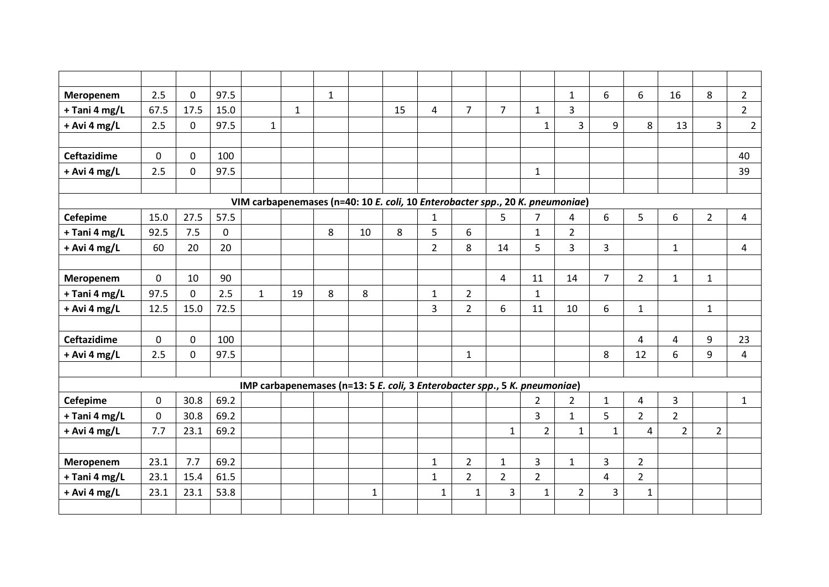| Meropenem          | 2.5         | $\mathbf 0$ | 97.5        |                                                                               |              | $\mathbf{1}$ |              |    |                |                |                |                | $\mathbf{1}$   | 6              | 6              | 16             | 8              | $2^{\circ}$  |
|--------------------|-------------|-------------|-------------|-------------------------------------------------------------------------------|--------------|--------------|--------------|----|----------------|----------------|----------------|----------------|----------------|----------------|----------------|----------------|----------------|--------------|
| + Tani 4 mg/L      | 67.5        | 17.5        | 15.0        |                                                                               | $\mathbf{1}$ |              |              | 15 | 4              | $\overline{7}$ | $\overline{7}$ | $\mathbf{1}$   | $\overline{3}$ |                |                |                |                | $2^{\circ}$  |
| $+$ Avi 4 mg/L     | 2.5         | $\mathbf 0$ | 97.5        | $\mathbf{1}$                                                                  |              |              |              |    |                |                |                | $\mathbf{1}$   | $\overline{3}$ | 9              | 8              | 13             | $\overline{3}$ | $2^{\circ}$  |
|                    |             |             |             |                                                                               |              |              |              |    |                |                |                |                |                |                |                |                |                |              |
| <b>Ceftazidime</b> | $\mathbf 0$ | $\mathbf 0$ | 100         |                                                                               |              |              |              |    |                |                |                |                |                |                |                |                |                | 40           |
| $+$ Avi 4 mg/L     | 2.5         | $\mathbf 0$ | 97.5        |                                                                               |              |              |              |    |                |                |                | $\mathbf{1}$   |                |                |                |                |                | 39           |
|                    |             |             |             |                                                                               |              |              |              |    |                |                |                |                |                |                |                |                |                |              |
|                    |             |             |             | VIM carbapenemases (n=40: 10 E. coli, 10 Enterobacter spp., 20 K. pneumoniae) |              |              |              |    |                |                |                |                |                |                |                |                |                |              |
| <b>Cefepime</b>    | 15.0        | 27.5        | 57.5        |                                                                               |              |              |              |    | $\mathbf{1}$   |                | 5              | $\overline{7}$ | $\overline{4}$ | 6              | 5              | 6              | $\overline{2}$ | 4            |
| + Tani 4 mg/L      | 92.5        | 7.5         | $\mathbf 0$ |                                                                               |              | 8            | 10           | 8  | 5              | 6              |                | $\mathbf{1}$   | $\overline{2}$ |                |                |                |                |              |
| + Avi 4 mg/L       | 60          | 20          | 20          |                                                                               |              |              |              |    | $\overline{2}$ | 8              | 14             | 5              | $\overline{3}$ | $\overline{3}$ |                | $\mathbf{1}$   |                | 4            |
|                    |             |             |             |                                                                               |              |              |              |    |                |                |                |                |                |                |                |                |                |              |
| Meropenem          | $\mathbf 0$ | 10          | 90          |                                                                               |              |              |              |    |                |                | $\overline{4}$ | 11             | 14             | $\overline{7}$ | $\overline{2}$ | $\mathbf{1}$   | $\mathbf{1}$   |              |
| + Tani 4 mg/L      | 97.5        | $\mathbf 0$ | 2.5         | $\mathbf{1}$                                                                  | 19           | 8            | 8            |    | $\mathbf{1}$   | $\overline{2}$ |                | $\mathbf{1}$   |                |                |                |                |                |              |
| + Avi 4 mg/L       | 12.5        | 15.0        | 72.5        |                                                                               |              |              |              |    | 3              | $\overline{2}$ | 6              | 11             | 10             | 6              | $\mathbf{1}$   |                | $\mathbf{1}$   |              |
|                    |             |             |             |                                                                               |              |              |              |    |                |                |                |                |                |                |                |                |                |              |
| <b>Ceftazidime</b> | $\mathbf 0$ | $\mathbf 0$ | 100         |                                                                               |              |              |              |    |                |                |                |                |                |                | 4              | 4              | 9              | 23           |
| + Avi 4 mg/L       | 2.5         | $\mathbf 0$ | 97.5        |                                                                               |              |              |              |    |                | $\mathbf{1}$   |                |                |                | 8              | 12             | 6              | 9              | 4            |
|                    |             |             |             |                                                                               |              |              |              |    |                |                |                |                |                |                |                |                |                |              |
|                    |             |             |             | IMP carbapenemases (n=13: 5 E. coli, 3 Enterobacter spp., 5 K. pneumoniae)    |              |              |              |    |                |                |                |                |                |                |                |                |                |              |
| Cefepime           | $\mathbf 0$ | 30.8        | 69.2        |                                                                               |              |              |              |    |                |                |                | $\overline{2}$ | $\overline{2}$ | $\mathbf{1}$   | 4              | 3              |                | $\mathbf{1}$ |
| + Tani 4 mg/L      | $\mathbf 0$ | 30.8        | 69.2        |                                                                               |              |              |              |    |                |                |                | $\overline{3}$ | $\mathbf{1}$   | 5              | $\overline{2}$ | $\overline{2}$ |                |              |
| + Avi 4 mg/L       | 7.7         | 23.1        | 69.2        |                                                                               |              |              |              |    |                |                | $\mathbf{1}$   | $\overline{2}$ | $\mathbf{1}$   | $\mathbf{1}$   | 4              | $\overline{2}$ | $\overline{2}$ |              |
|                    |             |             |             |                                                                               |              |              |              |    |                |                |                |                |                |                |                |                |                |              |
| Meropenem          | 23.1        | 7.7         | 69.2        |                                                                               |              |              |              |    | $\mathbf{1}$   | $\overline{2}$ | $\mathbf{1}$   | $\mathbf{3}$   | $\mathbf{1}$   | 3              | $2^{\circ}$    |                |                |              |
| + Tani 4 mg/L      | 23.1        | 15.4        | 61.5        |                                                                               |              |              |              |    | $\mathbf{1}$   | $\overline{2}$ | $\overline{2}$ | $\overline{2}$ |                | $\overline{4}$ | 2 <sup>1</sup> |                |                |              |
| + Avi 4 mg/L       | 23.1        | 23.1        | 53.8        |                                                                               |              |              | $\mathbf{1}$ |    | $\mathbf{1}$   | $\mathbf{1}$   | 3              | $\mathbf{1}$   | $\overline{2}$ | $\overline{3}$ | $\mathbf{1}$   |                |                |              |
|                    |             |             |             |                                                                               |              |              |              |    |                |                |                |                |                |                |                |                |                |              |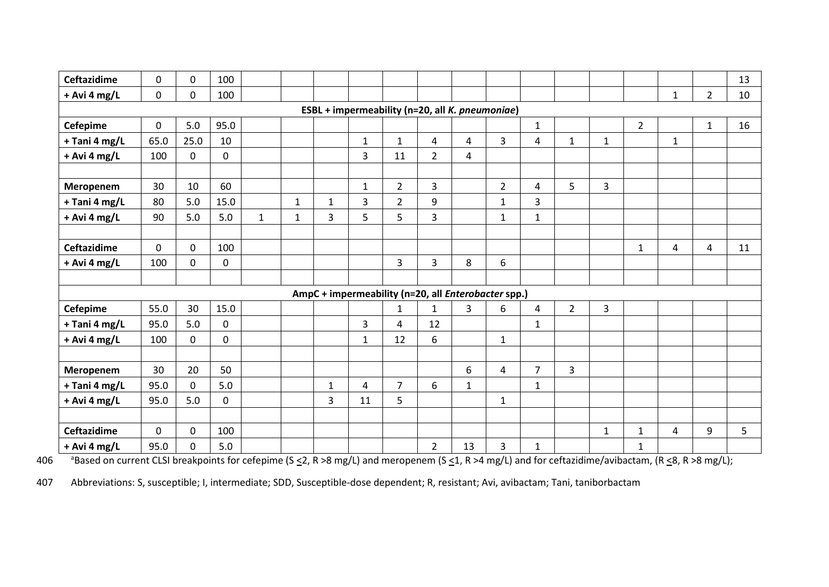| <b>Ceftazidime</b> | $\mathbf 0$  | $\mathbf 0$ | 100         |              |              |              |                                                     |                |                |              |                |                |                |              |                |              |                | 13 |
|--------------------|--------------|-------------|-------------|--------------|--------------|--------------|-----------------------------------------------------|----------------|----------------|--------------|----------------|----------------|----------------|--------------|----------------|--------------|----------------|----|
| + Avi 4 mg/L       | $\mathbf 0$  | $\mathbf 0$ | 100         |              |              |              |                                                     |                |                |              |                |                |                |              |                | $\mathbf{1}$ | $\overline{2}$ | 10 |
|                    |              |             |             |              |              |              | ESBL + impermeability (n=20, all K. pneumoniae)     |                |                |              |                |                |                |              |                |              |                |    |
| <b>Cefepime</b>    | $\Omega$     | $5.0$       | 95.0        |              |              |              |                                                     |                |                |              |                | $\mathbf{1}$   |                |              | $\overline{2}$ |              | $\mathbf{1}$   | 16 |
| + Tani 4 mg/L      | 65.0         | 25.0        | 10          |              |              |              | $\mathbf 1$                                         | $\mathbf{1}$   | $\overline{4}$ | 4            | $\overline{3}$ | 4              | $\mathbf 1$    | $\mathbf{1}$ |                | $\mathbf{1}$ |                |    |
| + Avi 4 mg/L       | 100          | $\mathbf 0$ | 0           |              |              |              | 3                                                   | 11             | $\overline{2}$ | 4            |                |                |                |              |                |              |                |    |
|                    |              |             |             |              |              |              |                                                     |                |                |              |                |                |                |              |                |              |                |    |
| Meropenem          | 30           | 10          | 60          |              |              |              | $\mathbf{1}$                                        | $\overline{2}$ | $\overline{3}$ |              | $\overline{2}$ | 4              | 5              | 3            |                |              |                |    |
| + Tani 4 mg/L      | 80           | 5.0         | 15.0        |              | $\mathbf{1}$ | $\mathbf{1}$ | $\overline{3}$                                      | $\overline{2}$ | 9              |              | $\mathbf{1}$   | $\overline{3}$ |                |              |                |              |                |    |
| + Avi 4 mg/L       | 90           | 5.0         | 5.0         | $\mathbf{1}$ | $\mathbf{1}$ | 3            | 5                                                   | 5              | 3              |              | $\mathbf{1}$   | $\mathbf{1}$   |                |              |                |              |                |    |
|                    |              |             |             |              |              |              |                                                     |                |                |              |                |                |                |              |                |              |                |    |
| <b>Ceftazidime</b> | $\mathbf{0}$ | $\Omega$    | 100         |              |              |              |                                                     |                |                |              |                |                |                |              | $\mathbf{1}$   | 4            | 4              | 11 |
| + Avi 4 mg/L       | 100          | $\mathbf 0$ | 0           |              |              |              |                                                     | $\overline{3}$ | $\overline{3}$ | 8            | 6              |                |                |              |                |              |                |    |
|                    |              |             |             |              |              |              |                                                     |                |                |              |                |                |                |              |                |              |                |    |
|                    |              |             |             |              |              |              | AmpC + impermeability (n=20, all Enterobacter spp.) |                |                |              |                |                |                |              |                |              |                |    |
| <b>Cefepime</b>    | 55.0         | 30          | 15.0        |              |              |              |                                                     | $\mathbf{1}$   | $\mathbf{1}$   | 3            | 6              | 4              | $\overline{2}$ | 3            |                |              |                |    |
| + Tani 4 mg/L      | 95.0         | 5.0         | 0           |              |              |              | 3                                                   | 4              | 12             |              |                | $\mathbf{1}$   |                |              |                |              |                |    |
| + Avi 4 mg/L       | 100          | $\mathbf 0$ | 0           |              |              |              | $\mathbf{1}$                                        | 12             | 6              |              | $\mathbf{1}$   |                |                |              |                |              |                |    |
|                    |              |             |             |              |              |              |                                                     |                |                |              |                |                |                |              |                |              |                |    |
| Meropenem          | 30           | 20          | 50          |              |              |              |                                                     |                |                | 6            | $\overline{4}$ | $\overline{7}$ | 3              |              |                |              |                |    |
| + Tani 4 mg/L      | 95.0         | $\mathbf 0$ | 5.0         |              |              | $\mathbf{1}$ | 4                                                   | $\overline{7}$ | 6              | $\mathbf{1}$ |                | $\mathbf{1}$   |                |              |                |              |                |    |
| + Avi 4 mg/L       | 95.0         | 5.0         | $\mathbf 0$ |              |              | 3            | 11                                                  | 5              |                |              | $\mathbf{1}$   |                |                |              |                |              |                |    |
|                    |              |             |             |              |              |              |                                                     |                |                |              |                |                |                |              |                |              |                |    |
| <b>Ceftazidime</b> | $\mathbf 0$  | $\mathbf 0$ | 100         |              |              |              |                                                     |                |                |              |                |                |                | $\mathbf{1}$ | $\mathbf{1}$   | 4            | 9              | 5  |
| + Avi 4 mg/L       | 95.0         | $\mathbf 0$ | 5.0         |              |              |              |                                                     |                | $\overline{2}$ | 13           | 3              | 1              |                |              | $\mathbf{1}$   |              |                |    |

406 Based on current CLSI breakpoints for cefepime (S  $\leq$  2, R >8 mg/L) and meropenem (S  $\leq$  1, R >4 mg/L) and for ceftazidime/avibactam, (R  $\leq$ 8, R >8 mg/L);

407 Abbreviations: S, susceptible; I, intermediate; SDD, Susceptible-dose dependent; R, resistant; Avi, avibactam; Tani, taniborbactam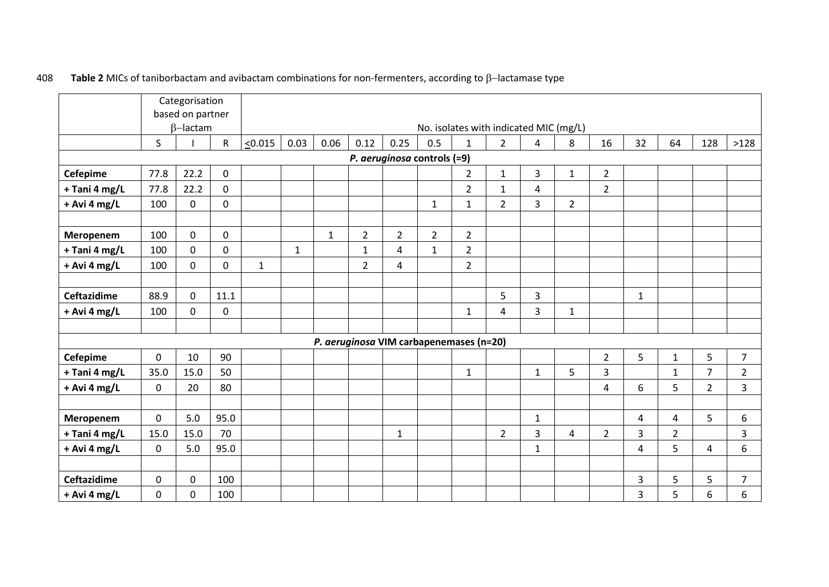|                    |             | Categorisation<br>based on partner |             |              |              |              |                |                             |                |                                         |                |                |                |                |                |                |                |                |
|--------------------|-------------|------------------------------------|-------------|--------------|--------------|--------------|----------------|-----------------------------|----------------|-----------------------------------------|----------------|----------------|----------------|----------------|----------------|----------------|----------------|----------------|
|                    |             | $\beta$ -lactam                    |             |              |              |              |                |                             |                | No. isolates with indicated MIC (mg/L)  |                |                |                |                |                |                |                |                |
|                    | S           |                                    | R           | < 0.015      | 0.03         | 0.06         | 0.12           | 0.25                        | 0.5            | 1                                       | $\overline{2}$ | 4              | 8              | 16             | 32             | 64             | 128            | >128           |
|                    |             |                                    |             |              |              |              |                | P. aeruginosa controls (=9) |                |                                         |                |                |                |                |                |                |                |                |
| <b>Cefepime</b>    | 77.8        | 22.2                               | $\mathbf 0$ |              |              |              |                |                             |                | $\overline{2}$                          | $\mathbf{1}$   | 3              | $\mathbf{1}$   | $\overline{2}$ |                |                |                |                |
| + Tani 4 mg/L      | 77.8        | 22.2                               | $\mathbf 0$ |              |              |              |                |                             |                | $\overline{2}$                          | $\mathbf{1}$   | 4              |                | $\overline{2}$ |                |                |                |                |
| $+$ Avi 4 mg/L     | 100         | 0                                  | $\pmb{0}$   |              |              |              |                |                             | $\mathbf{1}$   | $\mathbf{1}$                            | $\overline{2}$ | 3              | $\overline{2}$ |                |                |                |                |                |
| Meropenem          | 100         | 0                                  | 0           |              |              | $\mathbf{1}$ | $\overline{2}$ | $\overline{2}$              | $\overline{2}$ | $\overline{2}$                          |                |                |                |                |                |                |                |                |
|                    |             |                                    |             |              |              |              |                |                             |                |                                         |                |                |                |                |                |                |                |                |
| + Tani 4 mg/L      | 100         | $\mathbf 0$                        | $\mathbf 0$ |              | $\mathbf{1}$ |              | $\mathbf{1}$   | 4                           | $\mathbf{1}$   | $\overline{2}$                          |                |                |                |                |                |                |                |                |
| + Avi 4 mg/L       | 100         | $\mathbf 0$                        | $\mathbf 0$ | $\mathbf{1}$ |              |              | $\overline{2}$ | 4                           |                | $\overline{2}$                          |                |                |                |                |                |                |                |                |
| <b>Ceftazidime</b> | 88.9        | $\Omega$                           | 11.1        |              |              |              |                |                             |                |                                         | 5              | $\overline{3}$ |                |                | $\mathbf{1}$   |                |                |                |
| + Avi 4 mg/L       | 100         | 0                                  | $\mathbf 0$ |              |              |              |                |                             |                | $\mathbf{1}$                            | 4              | 3              | $\mathbf{1}$   |                |                |                |                |                |
|                    |             |                                    |             |              |              |              |                |                             |                |                                         |                |                |                |                |                |                |                |                |
|                    |             |                                    |             |              |              |              |                |                             |                | P. aeruginosa VIM carbapenemases (n=20) |                |                |                |                |                |                |                |                |
| <b>Cefepime</b>    | $\mathbf 0$ | 10                                 | 90          |              |              |              |                |                             |                |                                         |                |                |                | $\overline{2}$ | 5              | $\mathbf{1}$   | 5              | $\overline{7}$ |
| + Tani 4 mg/L      | 35.0        | 15.0                               | 50          |              |              |              |                |                             |                | $\mathbf{1}$                            |                | $\mathbf{1}$   | $5\phantom{.}$ | 3              |                | $\mathbf{1}$   | $\overline{7}$ | $\overline{2}$ |
| + Avi 4 mg/L       | $\mathbf 0$ | 20                                 | 80          |              |              |              |                |                             |                |                                         |                |                |                | 4              | 6              | 5              | $\overline{2}$ | 3              |
|                    |             |                                    |             |              |              |              |                |                             |                |                                         |                |                |                |                |                |                |                |                |
| Meropenem          | $\mathbf 0$ | 5.0                                | 95.0        |              |              |              |                |                             |                |                                         |                | $\mathbf{1}$   |                |                | $\overline{4}$ | $\overline{4}$ | 5              | 6              |
| + Tani 4 mg/L      | 15.0        | 15.0                               | 70          |              |              |              |                | 1                           |                |                                         | 2              | 3              | 4              | $\overline{2}$ | 3              | $\overline{2}$ |                | 3              |
| + Avi 4 mg/L       | $\mathbf 0$ | 5.0                                | 95.0        |              |              |              |                |                             |                |                                         |                | $\mathbf{1}$   |                |                | 4              | 5              | 4              | 6              |
|                    |             |                                    |             |              |              |              |                |                             |                |                                         |                |                |                |                |                |                |                |                |
| <b>Ceftazidime</b> | $\mathbf 0$ | $\mathbf 0$                        | 100         |              |              |              |                |                             |                |                                         |                |                |                |                | $\overline{3}$ | 5              | 5              | $\overline{7}$ |
| $+$ Avi 4 mg/L     | 0           | 0                                  | 100         |              |              |              |                |                             |                |                                         |                |                |                |                | 3              | 5              | 6              | 6              |

# a08 **Table 2** MICs of taniborbactam and avibactam combinations for non-fermenters, according to β-lactamase type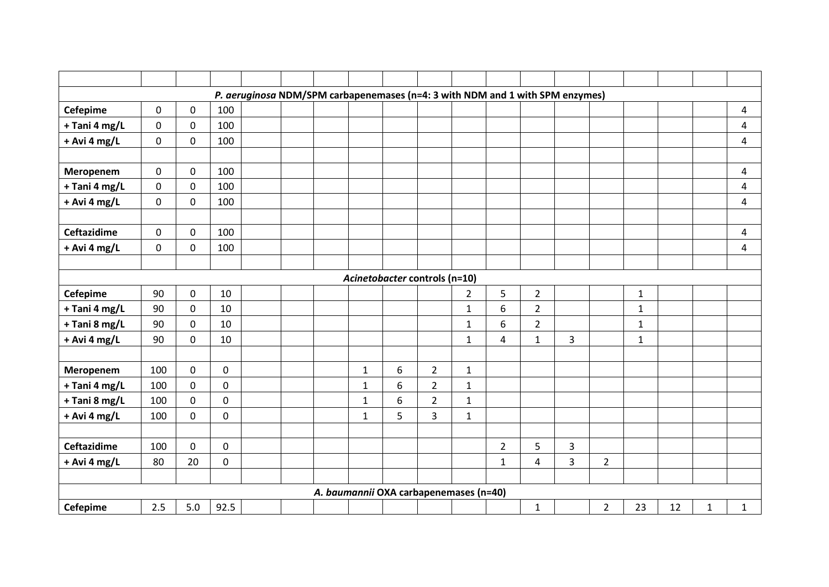|                    |             |             |             | P. aeruginosa NDM/SPM carbapenemases (n=4: 3 with NDM and 1 with SPM enzymes) |  |              |                                        |                |                |                |                |   |                |              |    |              |                |
|--------------------|-------------|-------------|-------------|-------------------------------------------------------------------------------|--|--------------|----------------------------------------|----------------|----------------|----------------|----------------|---|----------------|--------------|----|--------------|----------------|
| <b>Cefepime</b>    | $\mathbf 0$ | $\mathbf 0$ | 100         |                                                                               |  |              |                                        |                |                |                |                |   |                |              |    |              | 4              |
| + Tani 4 mg/L      | $\mathbf 0$ | $\mathbf 0$ | 100         |                                                                               |  |              |                                        |                |                |                |                |   |                |              |    |              | 4              |
| + Avi 4 mg/L       | $\pmb{0}$   | $\mathbf 0$ | 100         |                                                                               |  |              |                                        |                |                |                |                |   |                |              |    |              | 4              |
|                    |             |             |             |                                                                               |  |              |                                        |                |                |                |                |   |                |              |    |              |                |
| Meropenem          | $\mathbf 0$ | $\mathbf 0$ | 100         |                                                                               |  |              |                                        |                |                |                |                |   |                |              |    |              | 4              |
| + Tani 4 mg/L      | $\mathbf 0$ | $\mathbf 0$ | 100         |                                                                               |  |              |                                        |                |                |                |                |   |                |              |    |              | 4              |
| + Avi 4 mg/L       | 0           | $\pmb{0}$   | 100         |                                                                               |  |              |                                        |                |                |                |                |   |                |              |    |              | 4              |
|                    |             |             |             |                                                                               |  |              |                                        |                |                |                |                |   |                |              |    |              |                |
| <b>Ceftazidime</b> | $\mathbf 0$ | $\mathbf 0$ | 100         |                                                                               |  |              |                                        |                |                |                |                |   |                |              |    |              | 4              |
| + Avi 4 mg/L       | $\mathbf 0$ | $\mathbf 0$ | 100         |                                                                               |  |              |                                        |                |                |                |                |   |                |              |    |              | $\overline{4}$ |
|                    |             |             |             |                                                                               |  |              |                                        |                |                |                |                |   |                |              |    |              |                |
|                    |             |             |             |                                                                               |  |              | Acinetobacter controls (n=10)          |                |                |                |                |   |                |              |    |              |                |
| <b>Cefepime</b>    | 90          | $\mathbf 0$ | 10          |                                                                               |  |              |                                        |                | $\overline{2}$ | 5              | $\overline{2}$ |   |                | $\mathbf{1}$ |    |              |                |
| + Tani 4 mg/L      | 90          | $\mathbf 0$ | 10          |                                                                               |  |              |                                        |                | $\mathbf 1$    | 6              | $\overline{2}$ |   |                | $\mathbf{1}$ |    |              |                |
| + Tani 8 mg/L      | 90          | $\mathbf 0$ | 10          |                                                                               |  |              |                                        |                | $\mathbf 1$    | 6              | $\overline{2}$ |   |                | $\mathbf{1}$ |    |              |                |
| + Avi 4 mg/L       | 90          | $\mathbf 0$ | 10          |                                                                               |  |              |                                        |                | $\mathbf 1$    | 4              | $\mathbf{1}$   | 3 |                | $\mathbf{1}$ |    |              |                |
|                    |             |             |             |                                                                               |  |              |                                        |                |                |                |                |   |                |              |    |              |                |
| Meropenem          | 100         | $\mathbf 0$ | $\mathbf 0$ |                                                                               |  | $\mathbf{1}$ | 6                                      | $\overline{2}$ | $\mathbf{1}$   |                |                |   |                |              |    |              |                |
| + Tani 4 mg/L      | 100         | $\pmb{0}$   | $\mathbf 0$ |                                                                               |  | $\mathbf{1}$ | 6                                      | $\overline{2}$ | $\mathbf{1}$   |                |                |   |                |              |    |              |                |
| + Tani 8 mg/L      | 100         | $\mathbf 0$ | $\mathbf 0$ |                                                                               |  | $\mathbf{1}$ | 6                                      | $\overline{2}$ | $\mathbf{1}$   |                |                |   |                |              |    |              |                |
| + Avi 4 mg/L       | 100         | $\mathbf 0$ | $\mathbf 0$ |                                                                               |  | $\mathbf{1}$ | 5                                      | 3              | $\mathbf{1}$   |                |                |   |                |              |    |              |                |
|                    |             |             |             |                                                                               |  |              |                                        |                |                |                |                |   |                |              |    |              |                |
| <b>Ceftazidime</b> | 100         | $\mathbf 0$ | $\mathbf 0$ |                                                                               |  |              |                                        |                |                | $\overline{2}$ | 5              | 3 |                |              |    |              |                |
| + Avi 4 mg/L       | 80          | 20          | $\mathbf 0$ |                                                                               |  |              |                                        |                |                | $\mathbf{1}$   | 4              | 3 | $\overline{2}$ |              |    |              |                |
|                    |             |             |             |                                                                               |  |              |                                        |                |                |                |                |   |                |              |    |              |                |
|                    |             |             |             |                                                                               |  |              | A. baumannii OXA carbapenemases (n=40) |                |                |                |                |   |                |              |    |              |                |
| Cefepime           | 2.5         | 5.0         | 92.5        |                                                                               |  |              |                                        |                |                |                | $\mathbf{1}$   |   | $\overline{2}$ | 23           | 12 | $\mathbf{1}$ | $\mathbf{1}$   |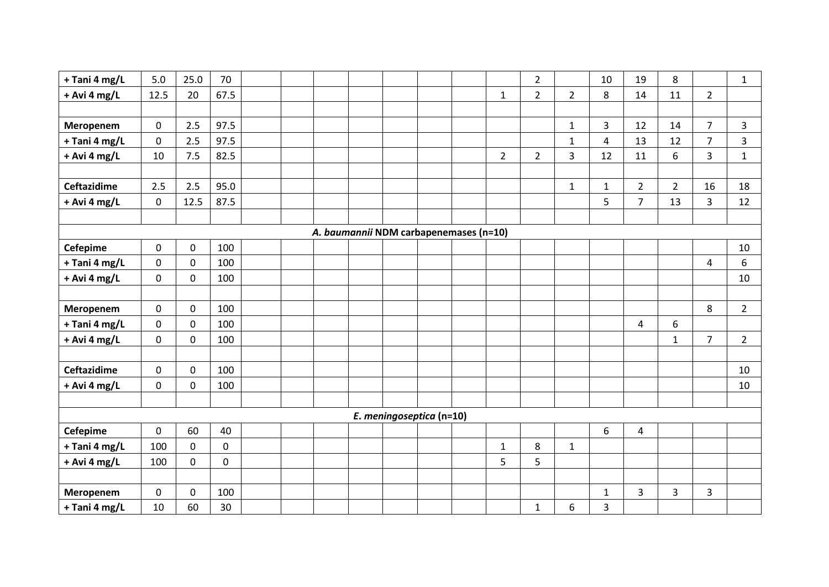| + Tani 4 mg/L      | 5.0         | 25.0        | 70           |  |  |                                        |  |                | $\overline{2}$ |                | 10             | 19             | 8              |                | $\mathbf{1}$   |
|--------------------|-------------|-------------|--------------|--|--|----------------------------------------|--|----------------|----------------|----------------|----------------|----------------|----------------|----------------|----------------|
| + Avi 4 mg/L       | 12.5        | 20          | 67.5         |  |  |                                        |  | $\mathbf{1}$   | $\overline{2}$ | $\overline{2}$ | 8              | 14             | 11             | $\overline{2}$ |                |
|                    |             |             |              |  |  |                                        |  |                |                |                |                |                |                |                |                |
| Meropenem          | 0           | 2.5         | 97.5         |  |  |                                        |  |                |                | $\mathbf{1}$   | 3              | 12             | 14             | $\overline{7}$ | 3              |
| + Tani 4 mg/L      | 0           | 2.5         | 97.5         |  |  |                                        |  |                |                | $\mathbf{1}$   | $\overline{4}$ | 13             | 12             | $\overline{7}$ | 3              |
| + Avi 4 mg/L       | 10          | 7.5         | 82.5         |  |  |                                        |  | $\overline{2}$ | $\overline{2}$ | 3              | 12             | 11             | 6              | 3              | $\mathbf{1}$   |
|                    |             |             |              |  |  |                                        |  |                |                |                |                |                |                |                |                |
| <b>Ceftazidime</b> | 2.5         | 2.5         | 95.0         |  |  |                                        |  |                |                | $\mathbf{1}$   | $\mathbf{1}$   | $\overline{2}$ | $\overline{2}$ | 16             | 18             |
| + Avi 4 mg/L       | 0           | 12.5        | 87.5         |  |  |                                        |  |                |                |                | 5              | $\overline{7}$ | 13             | 3              | 12             |
|                    |             |             |              |  |  |                                        |  |                |                |                |                |                |                |                |                |
|                    |             |             |              |  |  | A. baumannii NDM carbapenemases (n=10) |  |                |                |                |                |                |                |                |                |
| <b>Cefepime</b>    | $\pmb{0}$   | $\mathsf 0$ | 100          |  |  |                                        |  |                |                |                |                |                |                |                | 10             |
| + Tani 4 mg/L      | $\mathbf 0$ | $\mathsf 0$ | 100          |  |  |                                        |  |                |                |                |                |                |                | 4              | 6              |
| + Avi 4 mg/L       | 0           | $\mathbf 0$ | 100          |  |  |                                        |  |                |                |                |                |                |                |                | 10             |
|                    |             |             |              |  |  |                                        |  |                |                |                |                |                |                |                |                |
| Meropenem          | 0           | $\pmb{0}$   | 100          |  |  |                                        |  |                |                |                |                |                |                | 8              | $\overline{2}$ |
| + Tani 4 mg/L      | $\mathbf 0$ | $\mathbf 0$ | 100          |  |  |                                        |  |                |                |                |                | 4              | 6              |                |                |
| + Avi 4 mg/L       | 0           | $\mathbf 0$ | 100          |  |  |                                        |  |                |                |                |                |                | $\mathbf{1}$   | $\overline{7}$ | $2^{\circ}$    |
|                    |             |             |              |  |  |                                        |  |                |                |                |                |                |                |                |                |
| <b>Ceftazidime</b> | 0           | $\mathbf 0$ | 100          |  |  |                                        |  |                |                |                |                |                |                |                | 10             |
| + Avi 4 mg/L       | 0           | $\mathbf 0$ | 100          |  |  |                                        |  |                |                |                |                |                |                |                | 10             |
|                    |             |             |              |  |  |                                        |  |                |                |                |                |                |                |                |                |
|                    |             |             |              |  |  | E. meningoseptica (n=10)               |  |                |                |                |                |                |                |                |                |
| <b>Cefepime</b>    | $\mathbf 0$ | 60          | 40           |  |  |                                        |  |                |                |                | 6              | 4              |                |                |                |
| + Tani 4 mg/L      | 100         | $\mathbf 0$ | $\mathbf 0$  |  |  |                                        |  | $\mathbf{1}$   | 8              | $\mathbf{1}$   |                |                |                |                |                |
| + Avi 4 mg/L       | 100         | $\mathbf 0$ | $\mathsf{O}$ |  |  |                                        |  | 5              | 5              |                |                |                |                |                |                |
|                    |             |             |              |  |  |                                        |  |                |                |                |                |                |                |                |                |
| Meropenem          | $\mathbf 0$ | $\mathbf 0$ | 100          |  |  |                                        |  |                |                |                | $\mathbf 1$    | $\overline{3}$ | 3              | 3              |                |
| + Tani 4 mg/L      | 10          | 60          | 30           |  |  |                                        |  |                | $\mathbf{1}$   | 6              | 3              |                |                |                |                |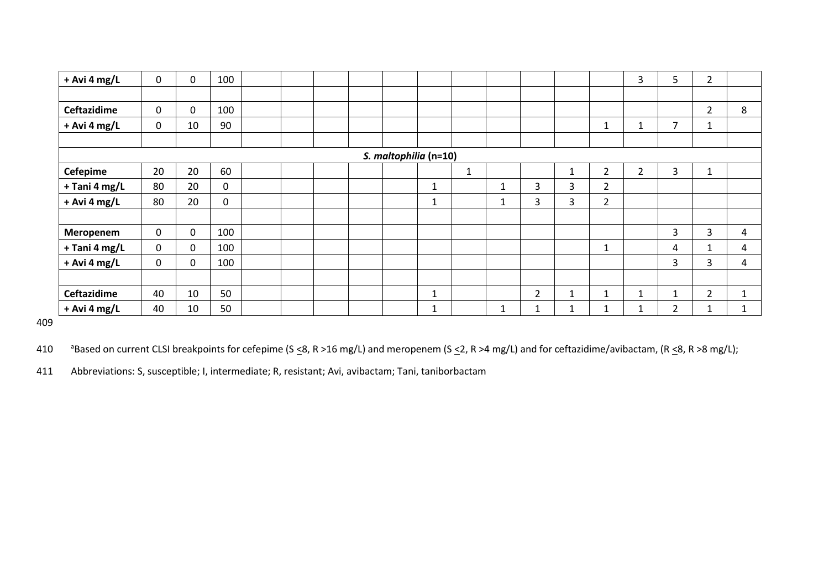| $+$ Avi 4 mg/L | 0           | 0           | 100 |  |  |                       |              |              |   |                |              |                | 3              | 5              | $\overline{2}$ |              |
|----------------|-------------|-------------|-----|--|--|-----------------------|--------------|--------------|---|----------------|--------------|----------------|----------------|----------------|----------------|--------------|
|                |             |             |     |  |  |                       |              |              |   |                |              |                |                |                |                |              |
| Ceftazidime    | $\mathbf 0$ | $\mathbf 0$ | 100 |  |  |                       |              |              |   |                |              |                |                |                | $\overline{2}$ | 8            |
| $+$ Avi 4 mg/L | 0           | 10          | 90  |  |  |                       |              |              |   |                |              | $\mathbf{1}$   |                | $\overline{7}$ |                |              |
|                |             |             |     |  |  |                       |              |              |   |                |              |                |                |                |                |              |
|                |             |             |     |  |  | S. maltophilia (n=10) |              |              |   |                |              |                |                |                |                |              |
| Cefepime       | 20          | 20          | 60  |  |  |                       |              | $\mathbf{1}$ |   |                | $\mathbf{1}$ | $\overline{2}$ | $\overline{2}$ | 3              | 1              |              |
| + Tani 4 mg/L  | 80          | 20          | 0   |  |  |                       | $\mathbf{1}$ |              | 1 | 3              | 3            | $\overline{2}$ |                |                |                |              |
| $+$ Avi 4 mg/L | 80          | 20          | 0   |  |  |                       | $\mathbf{1}$ |              | 1 | 3              | 3            | $\overline{2}$ |                |                |                |              |
|                |             |             |     |  |  |                       |              |              |   |                |              |                |                |                |                |              |
| Meropenem      | 0           | $\mathbf 0$ | 100 |  |  |                       |              |              |   |                |              |                |                | 3              | 3              | 4            |
| + Tani 4 mg/L  | 0           | 0           | 100 |  |  |                       |              |              |   |                |              | 1              |                | 4              |                | 4            |
| $+$ Avi 4 mg/L | 0           | $\pmb{0}$   | 100 |  |  |                       |              |              |   |                |              |                |                | 3              | 3              | 4            |
|                |             |             |     |  |  |                       |              |              |   |                |              |                |                |                |                |              |
| Ceftazidime    | 40          | 10          | 50  |  |  |                       | 1            |              |   | $\overline{2}$ | 1            | $\mathbf{1}$   | 1              | $\mathbf{1}$   | $\overline{2}$ | $\mathbf{1}$ |
| $+$ Avi 4 mg/L | 40          | 10          | 50  |  |  |                       | $\mathbf{1}$ |              | 1 |                | $\mathbf{1}$ | $\mathbf{1}$   |                | $\overline{2}$ |                | $\mathbf{1}$ |

409

410 Based on current CLSI breakpoints for cefepime (S  $\leq 8$ , R >16 mg/L) and meropenem (S  $\leq$ 2, R >4 mg/L) and for ceftazidime/avibactam, (R  $\leq$ 8, R >8 mg/L);

411 Abbreviations: S, susceptible; I, intermediate; R, resistant; Avi, avibactam; Tani, taniborbactam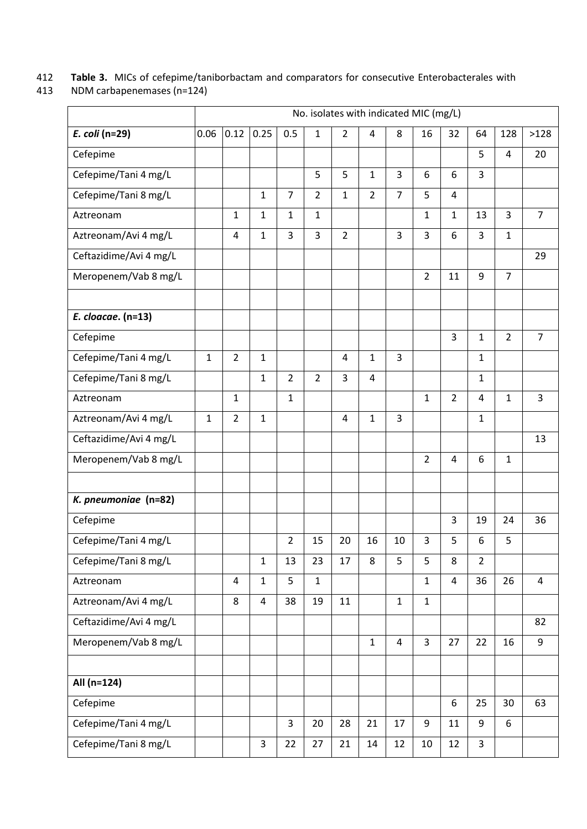412 **Table 3.** MICs of cefepime/taniborbactam and comparators for consecutive Enterobacterales with

NDM carbapenemases (n=124)

|                        |              |                |                |                |                | No. isolates with indicated MIC (mg/L) |                |                |                |                |                |                |                |
|------------------------|--------------|----------------|----------------|----------------|----------------|----------------------------------------|----------------|----------------|----------------|----------------|----------------|----------------|----------------|
| E. coli (n=29)         | 0.06         | 0.12           | 0.25           | 0.5            | $\mathbf{1}$   | $\overline{2}$                         | 4              | 8              | 16             | 32             | 64             | 128            | >128           |
| Cefepime               |              |                |                |                |                |                                        |                |                |                |                | 5              | 4              | 20             |
| Cefepime/Tani 4 mg/L   |              |                |                |                | 5              | 5                                      | $\mathbf{1}$   | $\overline{3}$ | 6              | 6              | 3              |                |                |
| Cefepime/Tani 8 mg/L   |              |                | $\mathbf{1}$   | $\overline{7}$ | $\overline{2}$ | $\mathbf{1}$                           | $\overline{2}$ | $\overline{7}$ | 5              | 4              |                |                |                |
| Aztreonam              |              | 1              | $\mathbf{1}$   | $\mathbf{1}$   | $\mathbf{1}$   |                                        |                |                | $\mathbf{1}$   | $\mathbf{1}$   | 13             | 3              | $\overline{7}$ |
| Aztreonam/Avi 4 mg/L   |              | 4              | $\mathbf{1}$   | 3              | 3              | $\overline{2}$                         |                | 3              | 3              | 6              | 3              | $\mathbf{1}$   |                |
| Ceftazidime/Avi 4 mg/L |              |                |                |                |                |                                        |                |                |                |                |                |                | 29             |
| Meropenem/Vab 8 mg/L   |              |                |                |                |                |                                        |                |                | $\overline{2}$ | 11             | 9              | $\overline{7}$ |                |
| E. cloacae. (n=13)     |              |                |                |                |                |                                        |                |                |                |                |                |                |                |
| Cefepime               |              |                |                |                |                |                                        |                |                |                | 3              | 1              | $\overline{2}$ | $\overline{7}$ |
| Cefepime/Tani 4 mg/L   | $\mathbf{1}$ | $\overline{2}$ | $\mathbf{1}$   |                |                | $\overline{\mathbf{4}}$                | $\mathbf{1}$   | $\overline{3}$ |                |                | $\mathbf{1}$   |                |                |
| Cefepime/Tani 8 mg/L   |              |                | $\mathbf{1}$   | $\overline{2}$ | $\overline{2}$ | 3                                      | $\overline{4}$ |                |                |                | 1              |                |                |
| Aztreonam              |              | $\mathbf{1}$   |                | $\mathbf{1}$   |                |                                        |                |                | $\mathbf{1}$   | $\overline{2}$ | 4              | $\mathbf{1}$   | 3              |
| Aztreonam/Avi 4 mg/L   | $\mathbf{1}$ | $\overline{2}$ | $\mathbf{1}$   |                |                | 4                                      | $\mathbf{1}$   | 3              |                |                | 1              |                |                |
| Ceftazidime/Avi 4 mg/L |              |                |                |                |                |                                        |                |                |                |                |                |                | 13             |
| Meropenem/Vab 8 mg/L   |              |                |                |                |                |                                        |                |                | $\overline{2}$ | 4              | 6              | $\mathbf{1}$   |                |
|                        |              |                |                |                |                |                                        |                |                |                |                |                |                |                |
| K. pneumoniae (n=82)   |              |                |                |                |                |                                        |                |                |                |                |                |                |                |
| Cefepime               |              |                |                |                |                |                                        |                |                |                | 3              | 19             | 24             | 36             |
| Cefepime/Tani 4 mg/L   |              |                |                | $\overline{2}$ | 15             | 20                                     | 16             | 10             | 3              | 5              | 6              | 5              |                |
| Cefepime/Tani 8 mg/L   |              |                | $\mathbf{1}$   | 13             | 23             | 17                                     | 8              | 5              | 5              | 8              | $\overline{2}$ |                |                |
| Aztreonam              |              | $\overline{4}$ | $\mathbf{1}$   | 5              | $\mathbf{1}$   |                                        |                |                | $\mathbf{1}$   | 4              | 36             | 26             | 4              |
| Aztreonam/Avi 4 mg/L   |              | 8              | $\overline{4}$ | 38             | 19             | 11                                     |                | $\mathbf{1}$   | $\mathbf{1}$   |                |                |                |                |
| Ceftazidime/Avi 4 mg/L |              |                |                |                |                |                                        |                |                |                |                |                |                | 82             |
| Meropenem/Vab 8 mg/L   |              |                |                |                |                |                                        | $\mathbf{1}$   | $\overline{4}$ | $\overline{3}$ | 27             | 22             | 16             | 9              |
|                        |              |                |                |                |                |                                        |                |                |                |                |                |                |                |
| All (n=124)            |              |                |                |                |                |                                        |                |                |                |                |                |                |                |
| Cefepime               |              |                |                |                |                |                                        |                |                |                | 6              | 25             | 30             | 63             |
| Cefepime/Tani 4 mg/L   |              |                |                | 3              | 20             | 28                                     | 21             | 17             | 9              | 11             | 9              | 6              |                |
| Cefepime/Tani 8 mg/L   |              |                | 3              | 22             | 27             | 21                                     | 14             | 12             | 10             | 12             | $\overline{3}$ |                |                |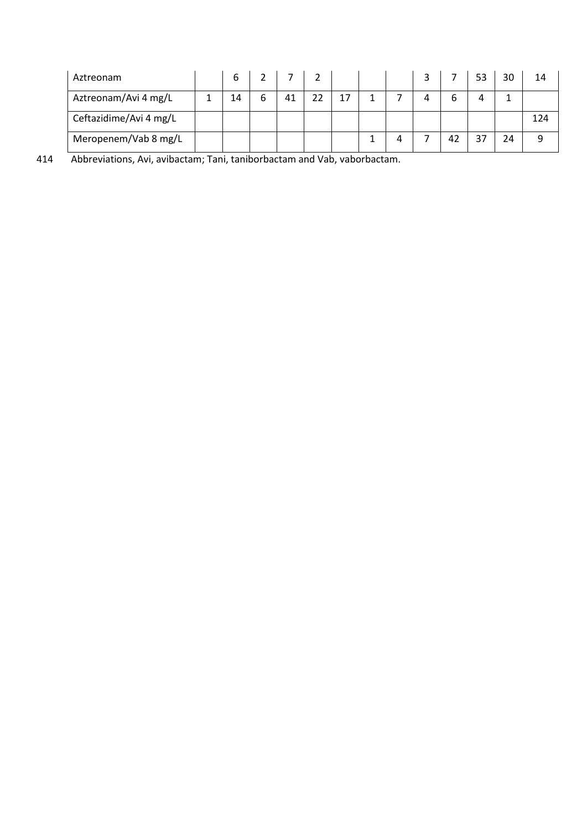| Aztreonam              | 6  |   |    |    |    |   |   |    | 53 | 30 | 14  |
|------------------------|----|---|----|----|----|---|---|----|----|----|-----|
| Aztreonam/Avi 4 mg/L   | 14 | 6 | 41 | 22 | 17 |   | 4 | h  |    |    |     |
| Ceftazidime/Avi 4 mg/L |    |   |    |    |    |   |   |    |    |    | 124 |
| Meropenem/Vab 8 mg/L   |    |   |    |    |    | 4 |   | 42 |    | 24 | 9   |

414 Abbreviations, Avi, avibactam; Tani, taniborbactam and Vab, vaborbactam.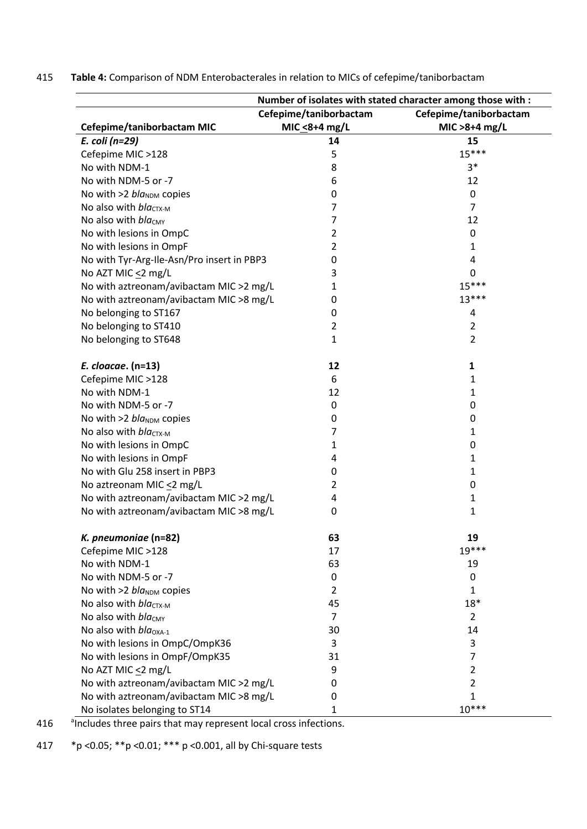415 **Table 4:** Comparison of NDM Enterobacterales in relation to MICs of cefepime/taniborbactam

|                                            |                                         | Number of isolates with stated character among those with : |
|--------------------------------------------|-----------------------------------------|-------------------------------------------------------------|
| Cefepime/taniborbactam MIC                 | Cefepime/taniborbactam<br>MIC <8+4 mg/L | Cefepime/taniborbactam<br>MIC > 8+4 mg/L                    |
| E. coli (n=29)                             | 14                                      | 15                                                          |
| Cefepime MIC >128                          | 5                                       | $15***$                                                     |
| No with NDM-1                              | 8                                       | $3*$                                                        |
| No with NDM-5 or -7                        | 6                                       | 12                                                          |
| No with $>2$ bla <sub>NDM</sub> copies     | 0                                       | 0                                                           |
| No also with $bla_{CTX-M}$                 | 7                                       | 7                                                           |
| No also with $bla_{CMY}$                   | 7                                       | 12                                                          |
| No with lesions in OmpC                    | 2                                       | 0                                                           |
| No with lesions in OmpF                    | 2                                       | 1                                                           |
| No with Tyr-Arg-Ile-Asn/Pro insert in PBP3 | 0                                       | 4                                                           |
| No AZT MIC <2 mg/L                         | 3                                       | 0                                                           |
| No with aztreonam/avibactam MIC >2 mg/L    | 1                                       | $15***$                                                     |
| No with aztreonam/avibactam MIC >8 mg/L    | 0                                       | $13***$                                                     |
| No belonging to ST167                      | 0                                       | 4                                                           |
| No belonging to ST410                      | 2                                       | $\overline{2}$                                              |
| No belonging to ST648                      | 1                                       | 2                                                           |
| E. cloacae. (n=13)                         | 12                                      | 1                                                           |
| Cefepime MIC >128                          | 6                                       | 1                                                           |
| No with NDM-1                              | 12                                      | 1                                                           |
| No with NDM-5 or -7                        | 0                                       | 0                                                           |
| No with $>2$ bla <sub>NDM</sub> copies     | 0                                       | 0                                                           |
| No also with $bla_{CTX-M}$                 | 7                                       | 1                                                           |
| No with lesions in OmpC                    | 1                                       | 0                                                           |
| No with lesions in OmpF                    | 4                                       | 1                                                           |
| No with Glu 258 insert in PBP3             | 0                                       | 1                                                           |
| No aztreonam MIC $\leq$ 2 mg/L             | 2                                       | 0                                                           |
| No with aztreonam/avibactam MIC >2 mg/L    | 4                                       | 1                                                           |
| No with aztreonam/avibactam MIC >8 mg/L    | 0                                       | 1                                                           |
| K. pneumoniae (n=82)                       | 63                                      | 19                                                          |
| Cefepime MIC >128                          | 17                                      | 19 ***                                                      |
| No with NDM-1                              | 63                                      | 19                                                          |
| No with NDM-5 or -7                        | 0                                       | 0                                                           |
| No with $>2$ bla <sub>NDM</sub> copies     | $\overline{2}$                          | 1                                                           |
| No also with $bla_{CTX-M}$                 | 45                                      | $18*$                                                       |
| No also with $bla_{CMY}$                   | $\overline{7}$                          | $\overline{2}$                                              |
| No also with $bla_{\text{OXA-1}}$          | 30                                      | 14                                                          |
| No with lesions in OmpC/OmpK36             | 3                                       | 3                                                           |
| No with lesions in OmpF/OmpK35             | 31                                      | $\overline{7}$                                              |
| No AZT MIC $\leq$ 2 mg/L                   | 9                                       | $\overline{2}$                                              |
| No with aztreonam/avibactam MIC > 2 mg/L   | 0                                       | $\overline{2}$                                              |
| No with aztreonam/avibactam MIC >8 mg/L    | 0                                       | $\mathbf{1}$                                                |
| No isolates belonging to ST14              | 1                                       | $10***$                                                     |

416 <sup>a</sup>Includes three pairs that may represent local cross infections.

417 \*p <0.05; \*\*p <0.01; \*\*\* p <0.001, all by Chi-square tests